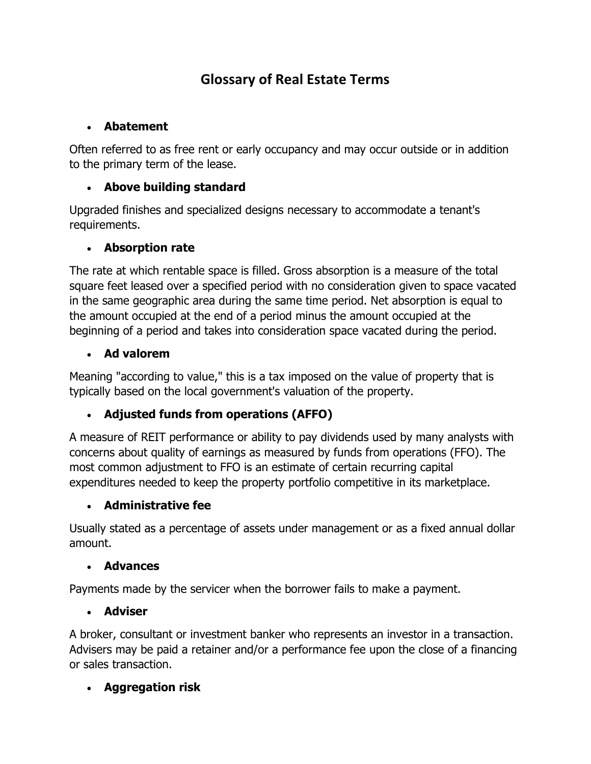# **Glossary of Real Estate Terms**

### **Abatement**

Often referred to as free rent or early occupancy and may occur outside or in addition to the primary term of the lease.

## **Above building standard**

Upgraded finishes and specialized designs necessary to accommodate a tenant's requirements.

## **Absorption rate**

The rate at which rentable space is filled. Gross absorption is a measure of the total square feet leased over a specified period with no consideration given to space vacated in the same geographic area during the same time period. Net absorption is equal to the amount occupied at the end of a period minus the amount occupied at the beginning of a period and takes into consideration space vacated during the period.

## **Ad valorem**

Meaning "according to value," this is a tax imposed on the value of property that is typically based on the local government's valuation of the property.

# **Adjusted funds from operations (AFFO)**

A measure of REIT performance or ability to pay dividends used by many analysts with concerns about quality of earnings as measured by funds from operations (FFO). The most common adjustment to FFO is an estimate of certain recurring capital expenditures needed to keep the property portfolio competitive in its marketplace.

# **Administrative fee**

Usually stated as a percentage of assets under management or as a fixed annual dollar amount.

### **Advances**

Payments made by the servicer when the borrower fails to make a payment.

### **Adviser**

A broker, consultant or investment banker who represents an investor in a transaction. Advisers may be paid a retainer and/or a performance fee upon the close of a financing or sales transaction.

# **Aggregation risk**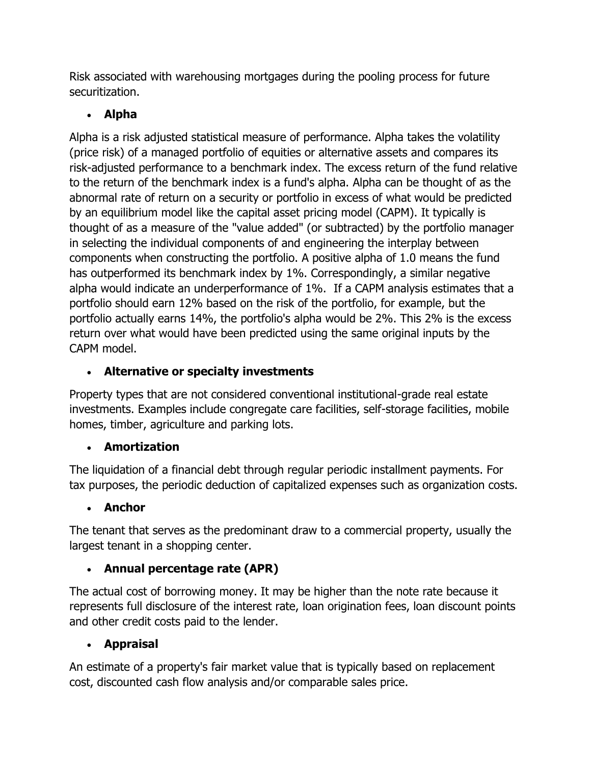Risk associated with warehousing mortgages during the pooling process for future securitization.

# **Alpha**

Alpha is a risk adjusted statistical measure of performance. Alpha takes the volatility (price risk) of a managed portfolio of equities or alternative assets and compares its risk-adjusted performance to a benchmark index. The excess return of the fund relative to the return of the benchmark index is a fund's alpha. Alpha can be thought of as the abnormal rate of return on a security or portfolio in excess of what would be predicted by an equilibrium model like the capital asset pricing model (CAPM). It typically is thought of as a measure of the "value added" (or subtracted) by the portfolio manager in selecting the individual components of and engineering the interplay between components when constructing the portfolio. A positive alpha of 1.0 means the fund has outperformed its benchmark index by 1%. Correspondingly, a similar negative alpha would indicate an underperformance of 1%. If a CAPM analysis estimates that a portfolio should earn 12% based on the risk of the portfolio, for example, but the portfolio actually earns 14%, the portfolio's alpha would be 2%. This 2% is the excess return over what would have been predicted using the same original inputs by the CAPM model.

# **Alternative or specialty investments**

Property types that are not considered conventional institutional-grade real estate investments. Examples include congregate care facilities, self-storage facilities, mobile homes, timber, agriculture and parking lots.

# **Amortization**

The liquidation of a financial debt through regular periodic installment payments. For tax purposes, the periodic deduction of capitalized expenses such as organization costs.

# **Anchor**

The tenant that serves as the predominant draw to a commercial property, usually the largest tenant in a shopping center.

# **Annual percentage rate (APR)**

The actual cost of borrowing money. It may be higher than the note rate because it represents full disclosure of the interest rate, loan origination fees, loan discount points and other credit costs paid to the lender.

# **Appraisal**

An estimate of a property's fair market value that is typically based on replacement cost, discounted cash flow analysis and/or comparable sales price.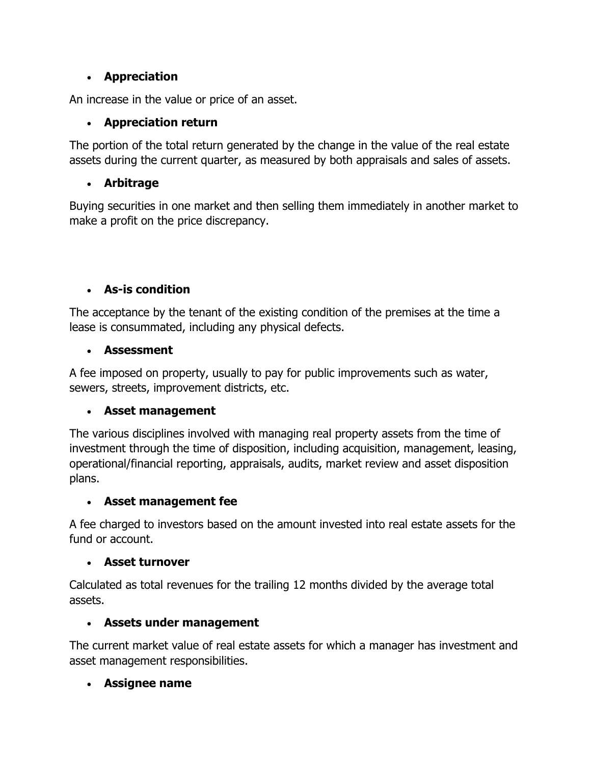## **Appreciation**

An increase in the value or price of an asset.

# **Appreciation return**

The portion of the total return generated by the change in the value of the real estate assets during the current quarter, as measured by both appraisals and sales of assets.

## **Arbitrage**

Buying securities in one market and then selling them immediately in another market to make a profit on the price discrepancy.

# **As-is condition**

The acceptance by the tenant of the existing condition of the premises at the time a lease is consummated, including any physical defects.

## **Assessment**

A fee imposed on property, usually to pay for public improvements such as water, sewers, streets, improvement districts, etc.

### **Asset management**

The various disciplines involved with managing real property assets from the time of investment through the time of disposition, including acquisition, management, leasing, operational/financial reporting, appraisals, audits, market review and asset disposition plans.

### **Asset management fee**

A fee charged to investors based on the amount invested into real estate assets for the fund or account.

### **Asset turnover**

Calculated as total revenues for the trailing 12 months divided by the average total assets.

### **Assets under management**

The current market value of real estate assets for which a manager has investment and asset management responsibilities.

# **Assignee name**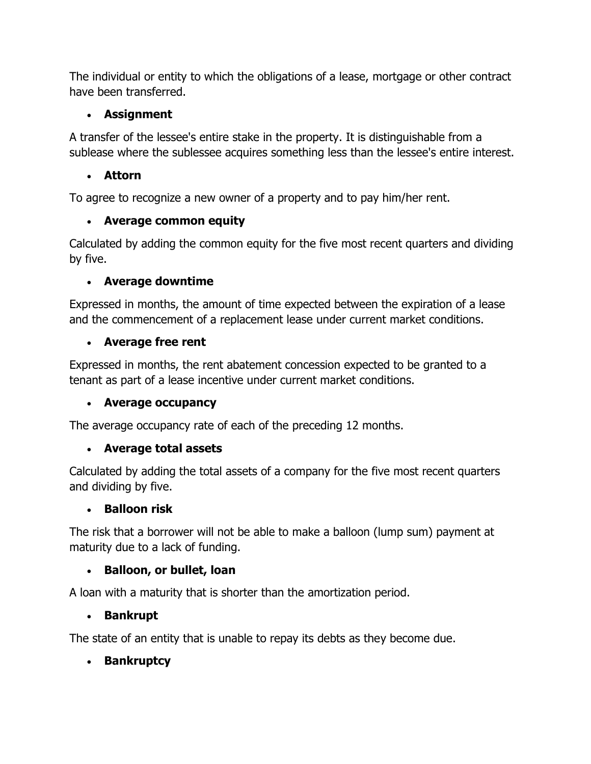The individual or entity to which the obligations of a lease, mortgage or other contract have been transferred.

## **Assignment**

A transfer of the lessee's entire stake in the property. It is distinguishable from a sublease where the sublessee acquires something less than the lessee's entire interest.

## **Attorn**

To agree to recognize a new owner of a property and to pay him/her rent.

# **Average common equity**

Calculated by adding the common equity for the five most recent quarters and dividing by five.

## **Average downtime**

Expressed in months, the amount of time expected between the expiration of a lease and the commencement of a replacement lease under current market conditions.

## **Average free rent**

Expressed in months, the rent abatement concession expected to be granted to a tenant as part of a lease incentive under current market conditions.

### **Average occupancy**

The average occupancy rate of each of the preceding 12 months.

# **Average total assets**

Calculated by adding the total assets of a company for the five most recent quarters and dividing by five.

### **Balloon risk**

The risk that a borrower will not be able to make a balloon (lump sum) payment at maturity due to a lack of funding.

# **Balloon, or bullet, loan**

A loan with a maturity that is shorter than the amortization period.

### **Bankrupt**

The state of an entity that is unable to repay its debts as they become due.

# **Bankruptcy**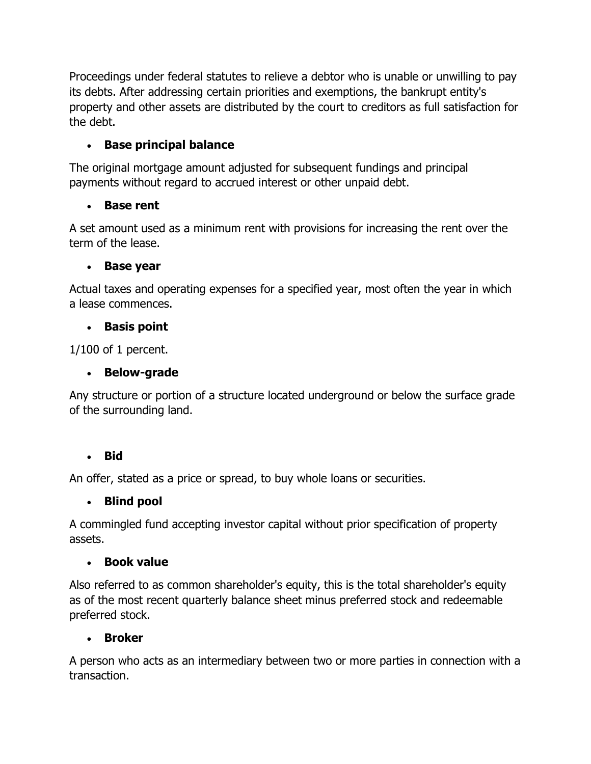Proceedings under federal statutes to relieve a debtor who is unable or unwilling to pay its debts. After addressing certain priorities and exemptions, the bankrupt entity's property and other assets are distributed by the court to creditors as full satisfaction for the debt.

# **Base principal balance**

The original mortgage amount adjusted for subsequent fundings and principal payments without regard to accrued interest or other unpaid debt.

# **Base rent**

A set amount used as a minimum rent with provisions for increasing the rent over the term of the lease.

### **Base year**

Actual taxes and operating expenses for a specified year, most often the year in which a lease commences.

## **Basis point**

1/100 of 1 percent.

## **Below-grade**

Any structure or portion of a structure located underground or below the surface grade of the surrounding land.

# **Bid**

An offer, stated as a price or spread, to buy whole loans or securities.

### **Blind pool**

A commingled fund accepting investor capital without prior specification of property assets.

### **Book value**

Also referred to as common shareholder's equity, this is the total shareholder's equity as of the most recent quarterly balance sheet minus preferred stock and redeemable preferred stock.

### **Broker**

A person who acts as an intermediary between two or more parties in connection with a transaction.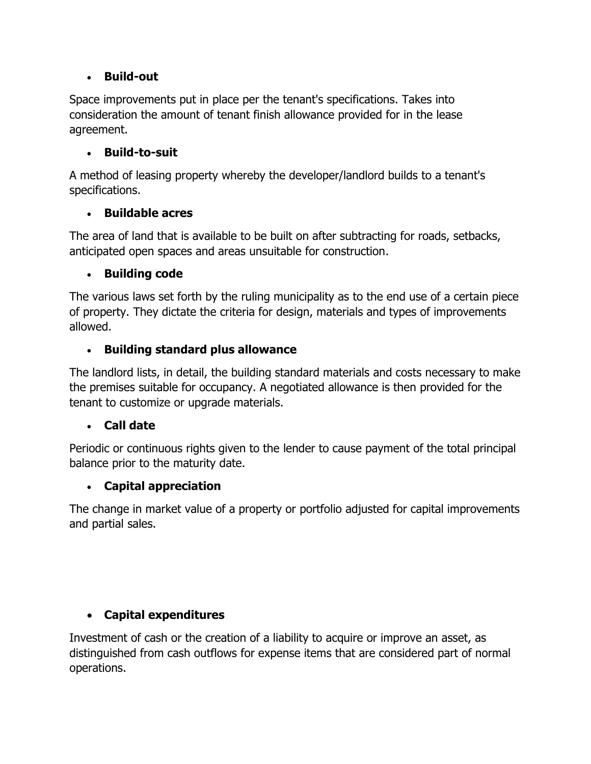### **Build-out**

Space improvements put in place per the tenant's specifications. Takes into consideration the amount of tenant finish allowance provided for in the lease agreement.

#### **Build-to-suit**

A method of leasing property whereby the developer/landlord builds to a tenant's specifications.

#### **Buildable acres**

The area of land that is available to be built on after subtracting for roads, setbacks, anticipated open spaces and areas unsuitable for construction.

#### **Building code**

The various laws set forth by the ruling municipality as to the end use of a certain piece of property. They dictate the criteria for design, materials and types of improvements allowed.

#### **Building standard plus allowance**

The landlord lists, in detail, the building standard materials and costs necessary to make the premises suitable for occupancy. A negotiated allowance is then provided for the tenant to customize or upgrade materials.

#### **Call date**

Periodic or continuous rights given to the lender to cause payment of the total principal balance prior to the maturity date.

### **Capital appreciation**

The change in market value of a property or portfolio adjusted for capital improvements and partial sales.

### **Capital expenditures**

Investment of cash or the creation of a liability to acquire or improve an asset, as distinguished from cash outflows for expense items that are considered part of normal operations.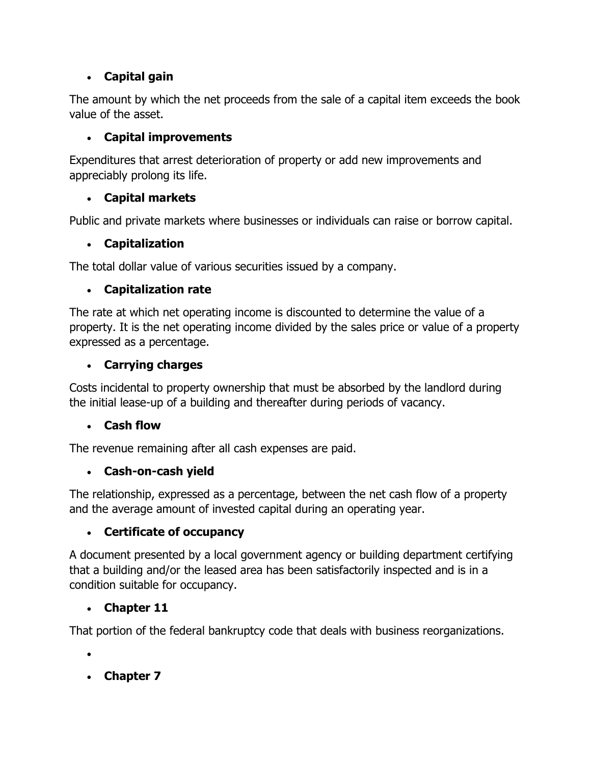# **Capital gain**

The amount by which the net proceeds from the sale of a capital item exceeds the book value of the asset.

# **Capital improvements**

Expenditures that arrest deterioration of property or add new improvements and appreciably prolong its life.

# **Capital markets**

Public and private markets where businesses or individuals can raise or borrow capital.

# **Capitalization**

The total dollar value of various securities issued by a company.

# **Capitalization rate**

The rate at which net operating income is discounted to determine the value of a property. It is the net operating income divided by the sales price or value of a property expressed as a percentage.

# **Carrying charges**

Costs incidental to property ownership that must be absorbed by the landlord during the initial lease-up of a building and thereafter during periods of vacancy.

# **Cash flow**

The revenue remaining after all cash expenses are paid.

# **Cash-on-cash yield**

The relationship, expressed as a percentage, between the net cash flow of a property and the average amount of invested capital during an operating year.

# **Certificate of occupancy**

A document presented by a local government agency or building department certifying that a building and/or the leased area has been satisfactorily inspected and is in a condition suitable for occupancy.

# **Chapter 11**

That portion of the federal bankruptcy code that deals with business reorganizations.

 $\bullet$ 

**Chapter 7**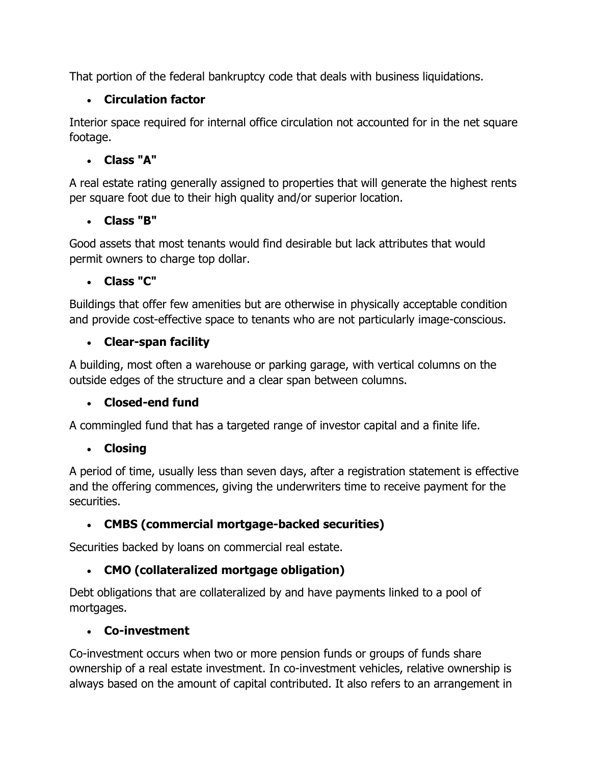That portion of the federal bankruptcy code that deals with business liquidations.

# **Circulation factor**

Interior space required for internal office circulation not accounted for in the net square footage.

# **Class "A"**

A real estate rating generally assigned to properties that will generate the highest rents per square foot due to their high quality and/or superior location.

### **Class "B"**

Good assets that most tenants would find desirable but lack attributes that would permit owners to charge top dollar.

### **Class "C"**

Buildings that offer few amenities but are otherwise in physically acceptable condition and provide cost-effective space to tenants who are not particularly image-conscious.

## **Clear-span facility**

A building, most often a warehouse or parking garage, with vertical columns on the outside edges of the structure and a clear span between columns.

### **Closed-end fund**

A commingled fund that has a targeted range of investor capital and a finite life.

### **Closing**

A period of time, usually less than seven days, after a registration statement is effective and the offering commences, giving the underwriters time to receive payment for the securities.

# **CMBS (commercial mortgage-backed securities)**

Securities backed by loans on commercial real estate.

# **CMO (collateralized mortgage obligation)**

Debt obligations that are collateralized by and have payments linked to a pool of mortgages.

### **Co-investment**

Co-investment occurs when two or more pension funds or groups of funds share ownership of a real estate investment. In co-investment vehicles, relative ownership is always based on the amount of capital contributed. It also refers to an arrangement in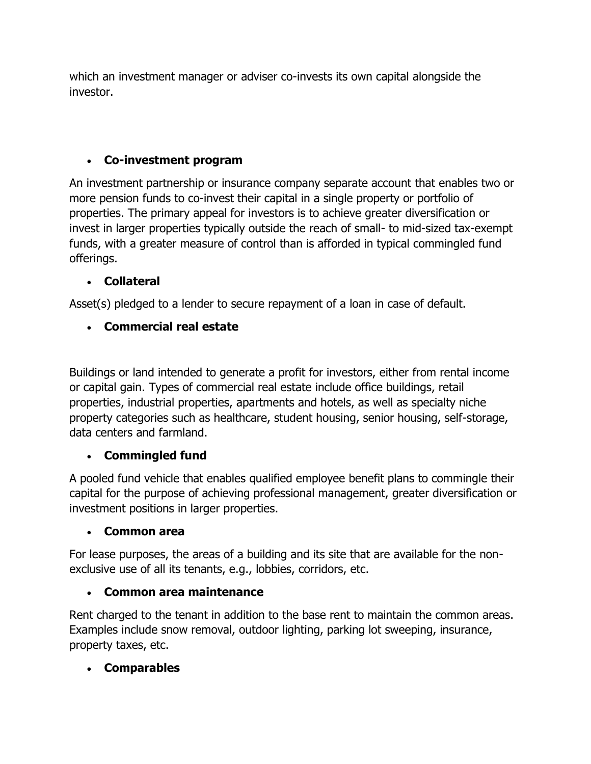which an investment manager or adviser co-invests its own capital alongside the investor.

## **Co-investment program**

An investment partnership or insurance company separate account that enables two or more pension funds to co-invest their capital in a single property or portfolio of properties. The primary appeal for investors is to achieve greater diversification or invest in larger properties typically outside the reach of small- to mid-sized tax-exempt funds, with a greater measure of control than is afforded in typical commingled fund offerings.

## **Collateral**

Asset(s) pledged to a lender to secure repayment of a loan in case of default.

# **Commercial real estate**

Buildings or land intended to generate a profit for investors, either from rental income or capital gain. Types of commercial real estate include office buildings, retail properties, industrial properties, apartments and hotels, as well as specialty niche property categories such as healthcare, student housing, senior housing, self-storage, data centers and farmland.

# **Commingled fund**

A pooled fund vehicle that enables qualified employee benefit plans to commingle their capital for the purpose of achieving professional management, greater diversification or investment positions in larger properties.

### **Common area**

For lease purposes, the areas of a building and its site that are available for the nonexclusive use of all its tenants, e.g., lobbies, corridors, etc.

### **Common area maintenance**

Rent charged to the tenant in addition to the base rent to maintain the common areas. Examples include snow removal, outdoor lighting, parking lot sweeping, insurance, property taxes, etc.

### **Comparables**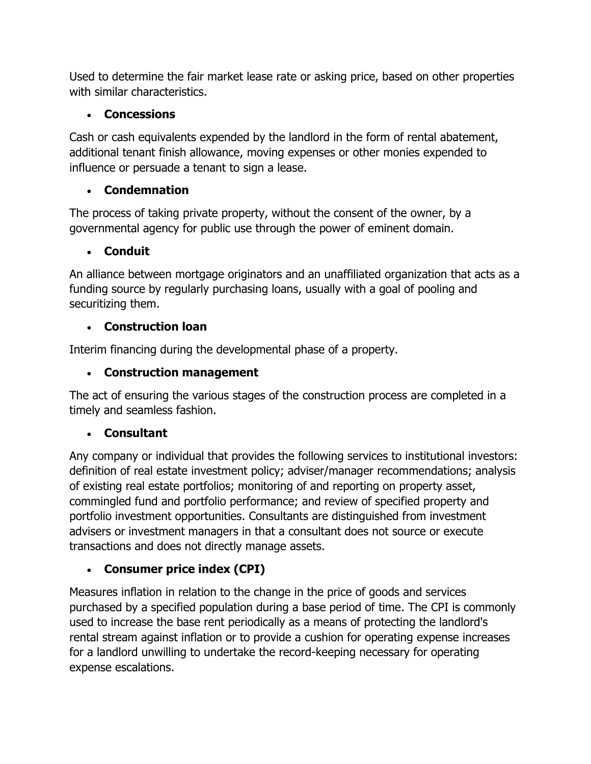Used to determine the fair market lease rate or asking price, based on other properties with similar characteristics.

## **Concessions**

Cash or cash equivalents expended by the landlord in the form of rental abatement, additional tenant finish allowance, moving expenses or other monies expended to influence or persuade a tenant to sign a lease.

# **Condemnation**

The process of taking private property, without the consent of the owner, by a governmental agency for public use through the power of eminent domain.

# **Conduit**

An alliance between mortgage originators and an unaffiliated organization that acts as a funding source by regularly purchasing loans, usually with a goal of pooling and securitizing them.

# **Construction loan**

Interim financing during the developmental phase of a property.

# **Construction management**

The act of ensuring the various stages of the construction process are completed in a timely and seamless fashion.

# **Consultant**

Any company or individual that provides the following services to institutional investors: definition of real estate investment policy; adviser/manager recommendations; analysis of existing real estate portfolios; monitoring of and reporting on property asset, commingled fund and portfolio performance; and review of specified property and portfolio investment opportunities. Consultants are distinguished from investment advisers or investment managers in that a consultant does not source or execute transactions and does not directly manage assets.

# **Consumer price index (CPI)**

Measures inflation in relation to the change in the price of goods and services purchased by a specified population during a base period of time. The CPI is commonly used to increase the base rent periodically as a means of protecting the landlord's rental stream against inflation or to provide a cushion for operating expense increases for a landlord unwilling to undertake the record-keeping necessary for operating expense escalations.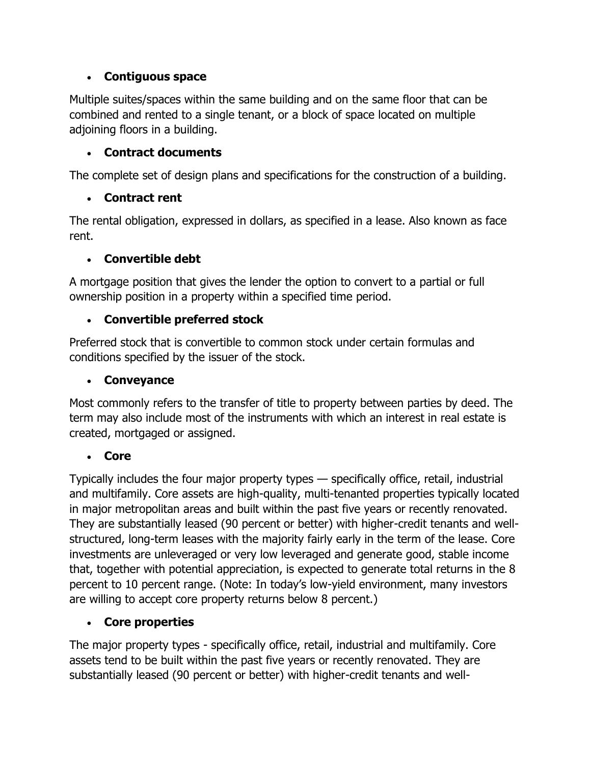### **Contiguous space**

Multiple suites/spaces within the same building and on the same floor that can be combined and rented to a single tenant, or a block of space located on multiple adjoining floors in a building.

# **Contract documents**

The complete set of design plans and specifications for the construction of a building.

# **Contract rent**

The rental obligation, expressed in dollars, as specified in a lease. Also known as face rent.

# **Convertible debt**

A mortgage position that gives the lender the option to convert to a partial or full ownership position in a property within a specified time period.

# **Convertible preferred stock**

Preferred stock that is convertible to common stock under certain formulas and conditions specified by the issuer of the stock.

## **Conveyance**

Most commonly refers to the transfer of title to property between parties by deed. The term may also include most of the instruments with which an interest in real estate is created, mortgaged or assigned.

# **Core**

Typically includes the four major property types — specifically office, retail, industrial and multifamily. Core assets are high-quality, multi-tenanted properties typically located in major metropolitan areas and built within the past five years or recently renovated. They are substantially leased (90 percent or better) with higher-credit tenants and wellstructured, long-term leases with the majority fairly early in the term of the lease. Core investments are unleveraged or very low leveraged and generate good, stable income that, together with potential appreciation, is expected to generate total returns in the 8 percent to 10 percent range. (Note: In today's low-yield environment, many investors are willing to accept core property returns below 8 percent.)

# **Core properties**

The major property types - specifically office, retail, industrial and multifamily. Core assets tend to be built within the past five years or recently renovated. They are substantially leased (90 percent or better) with higher-credit tenants and well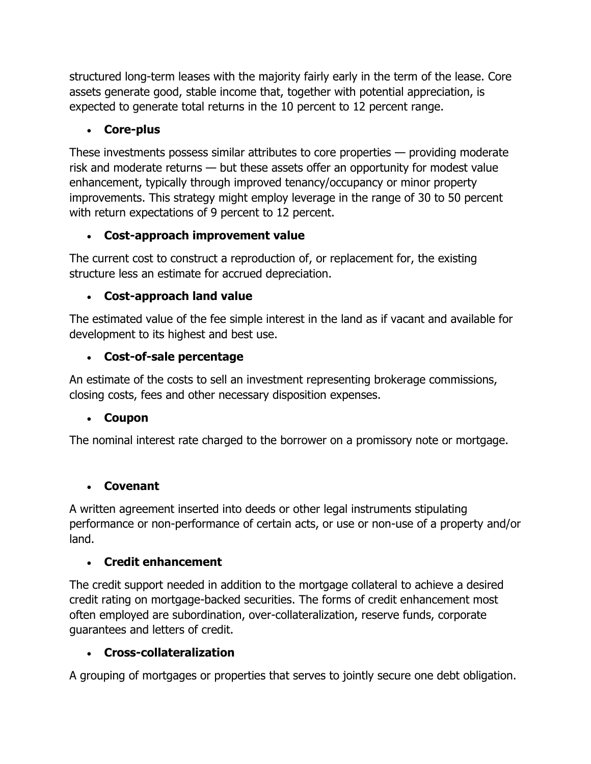structured long-term leases with the majority fairly early in the term of the lease. Core assets generate good, stable income that, together with potential appreciation, is expected to generate total returns in the 10 percent to 12 percent range.

# **Core-plus**

These investments possess similar attributes to core properties — providing moderate risk and moderate returns — but these assets offer an opportunity for modest value enhancement, typically through improved tenancy/occupancy or minor property improvements. This strategy might employ leverage in the range of 30 to 50 percent with return expectations of 9 percent to 12 percent.

## **Cost-approach improvement value**

The current cost to construct a reproduction of, or replacement for, the existing structure less an estimate for accrued depreciation.

## **Cost-approach land value**

The estimated value of the fee simple interest in the land as if vacant and available for development to its highest and best use.

## **Cost-of-sale percentage**

An estimate of the costs to sell an investment representing brokerage commissions, closing costs, fees and other necessary disposition expenses.

### **Coupon**

The nominal interest rate charged to the borrower on a promissory note or mortgage.

### **Covenant**

A written agreement inserted into deeds or other legal instruments stipulating performance or non-performance of certain acts, or use or non-use of a property and/or land.

### **Credit enhancement**

The credit support needed in addition to the mortgage collateral to achieve a desired credit rating on mortgage-backed securities. The forms of credit enhancement most often employed are subordination, over-collateralization, reserve funds, corporate guarantees and letters of credit.

### **Cross-collateralization**

A grouping of mortgages or properties that serves to jointly secure one debt obligation.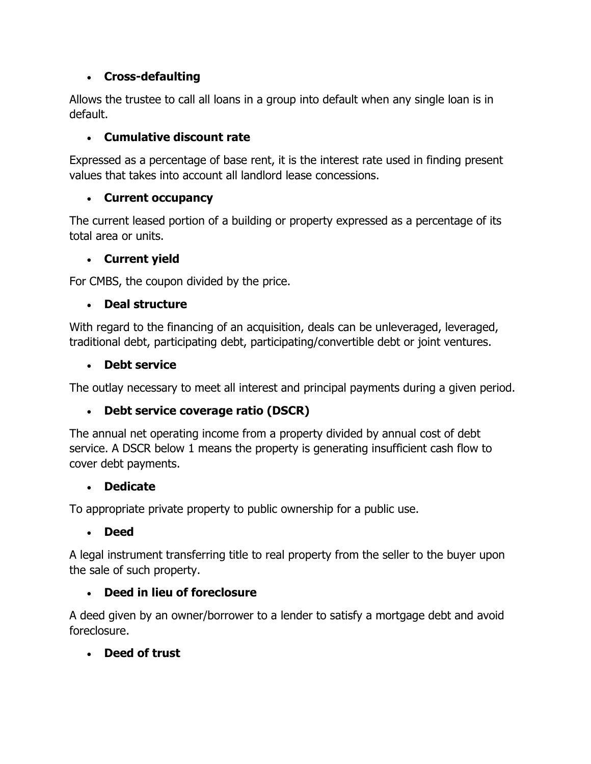## **Cross-defaulting**

Allows the trustee to call all loans in a group into default when any single loan is in default.

## **Cumulative discount rate**

Expressed as a percentage of base rent, it is the interest rate used in finding present values that takes into account all landlord lease concessions.

## **Current occupancy**

The current leased portion of a building or property expressed as a percentage of its total area or units.

## **Current yield**

For CMBS, the coupon divided by the price.

## **Deal structure**

With regard to the financing of an acquisition, deals can be unleveraged, leveraged, traditional debt, participating debt, participating/convertible debt or joint ventures.

### **Debt service**

The outlay necessary to meet all interest and principal payments during a given period.

# **Debt service coverage ratio (DSCR)**

The annual net operating income from a property divided by annual cost of debt service. A DSCR below 1 means the property is generating insufficient cash flow to cover debt payments.

### **Dedicate**

To appropriate private property to public ownership for a public use.

### **Deed**

A legal instrument transferring title to real property from the seller to the buyer upon the sale of such property.

### **Deed in lieu of foreclosure**

A deed given by an owner/borrower to a lender to satisfy a mortgage debt and avoid foreclosure.

### **Deed of trust**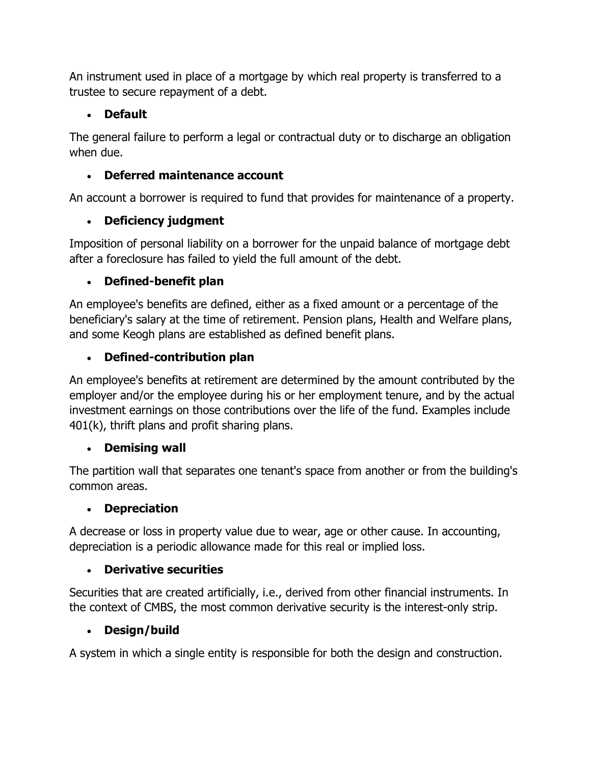An instrument used in place of a mortgage by which real property is transferred to a trustee to secure repayment of a debt.

# **Default**

The general failure to perform a legal or contractual duty or to discharge an obligation when due.

# **Deferred maintenance account**

An account a borrower is required to fund that provides for maintenance of a property.

# **Deficiency judgment**

Imposition of personal liability on a borrower for the unpaid balance of mortgage debt after a foreclosure has failed to yield the full amount of the debt.

# **Defined-benefit plan**

An employee's benefits are defined, either as a fixed amount or a percentage of the beneficiary's salary at the time of retirement. Pension plans, Health and Welfare plans, and some Keogh plans are established as defined benefit plans.

# **Defined-contribution plan**

An employee's benefits at retirement are determined by the amount contributed by the employer and/or the employee during his or her employment tenure, and by the actual investment earnings on those contributions over the life of the fund. Examples include 401(k), thrift plans and profit sharing plans.

# **Demising wall**

The partition wall that separates one tenant's space from another or from the building's common areas.

# **Depreciation**

A decrease or loss in property value due to wear, age or other cause. In accounting, depreciation is a periodic allowance made for this real or implied loss.

# **Derivative securities**

Securities that are created artificially, i.e., derived from other financial instruments. In the context of CMBS, the most common derivative security is the interest-only strip.

# **Design/build**

A system in which a single entity is responsible for both the design and construction.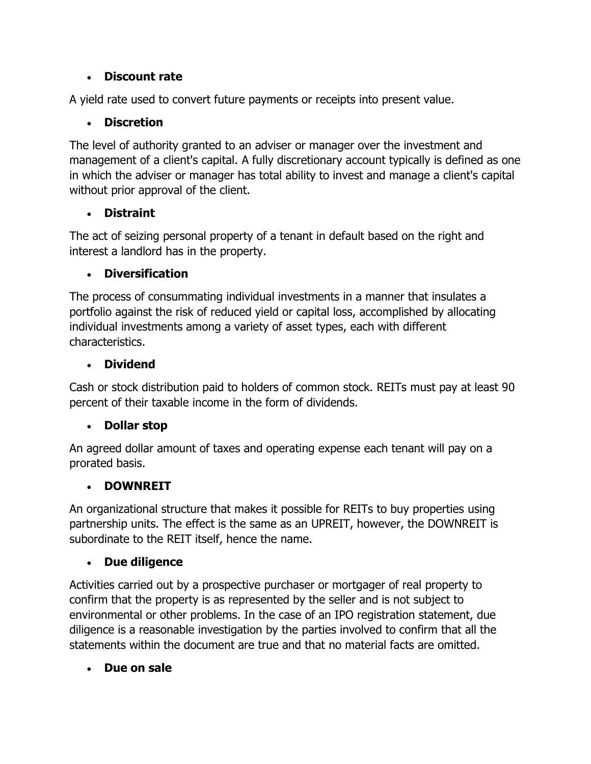### **Discount rate**

A yield rate used to convert future payments or receipts into present value.

# **Discretion**

The level of authority granted to an adviser or manager over the investment and management of a client's capital. A fully discretionary account typically is defined as one in which the adviser or manager has total ability to invest and manage a client's capital without prior approval of the client.

## **Distraint**

The act of seizing personal property of a tenant in default based on the right and interest a landlord has in the property.

# **Diversification**

The process of consummating individual investments in a manner that insulates a portfolio against the risk of reduced yield or capital loss, accomplished by allocating individual investments among a variety of asset types, each with different characteristics.

## **Dividend**

Cash or stock distribution paid to holders of common stock. REITs must pay at least 90 percent of their taxable income in the form of dividends.

# **Dollar stop**

An agreed dollar amount of taxes and operating expense each tenant will pay on a prorated basis.

# **DOWNREIT**

An organizational structure that makes it possible for REITs to buy properties using partnership units. The effect is the same as an UPREIT, however, the DOWNREIT is subordinate to the REIT itself, hence the name.

# **Due diligence**

Activities carried out by a prospective purchaser or mortgager of real property to confirm that the property is as represented by the seller and is not subject to environmental or other problems. In the case of an IPO registration statement, due diligence is a reasonable investigation by the parties involved to confirm that all the statements within the document are true and that no material facts are omitted.

# **Due on sale**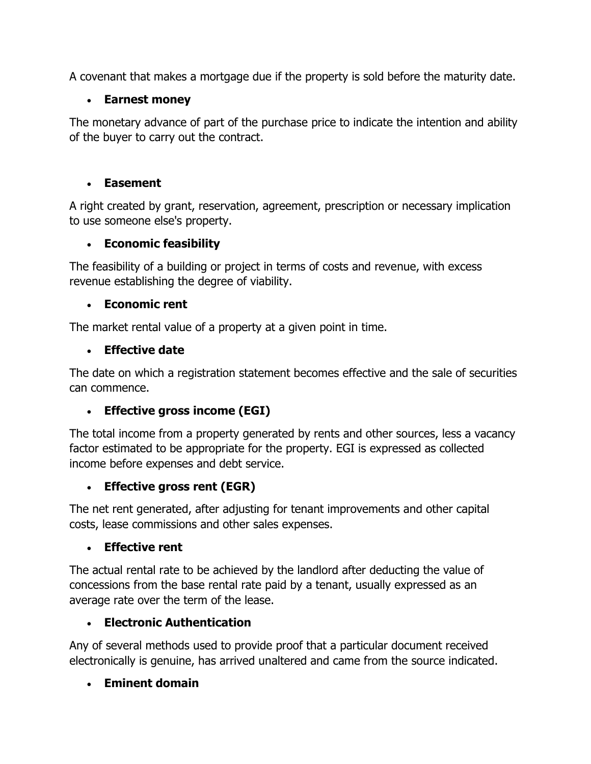A covenant that makes a mortgage due if the property is sold before the maturity date.

## **Earnest money**

The monetary advance of part of the purchase price to indicate the intention and ability of the buyer to carry out the contract.

### **Easement**

A right created by grant, reservation, agreement, prescription or necessary implication to use someone else's property.

# **Economic feasibility**

The feasibility of a building or project in terms of costs and revenue, with excess revenue establishing the degree of viability.

## **Economic rent**

The market rental value of a property at a given point in time.

## **Effective date**

The date on which a registration statement becomes effective and the sale of securities can commence.

# **Effective gross income (EGI)**

The total income from a property generated by rents and other sources, less a vacancy factor estimated to be appropriate for the property. EGI is expressed as collected income before expenses and debt service.

# **Effective gross rent (EGR)**

The net rent generated, after adjusting for tenant improvements and other capital costs, lease commissions and other sales expenses.

### **Effective rent**

The actual rental rate to be achieved by the landlord after deducting the value of concessions from the base rental rate paid by a tenant, usually expressed as an average rate over the term of the lease.

### **Electronic Authentication**

Any of several methods used to provide proof that a particular document received electronically is genuine, has arrived unaltered and came from the source indicated.

# **Eminent domain**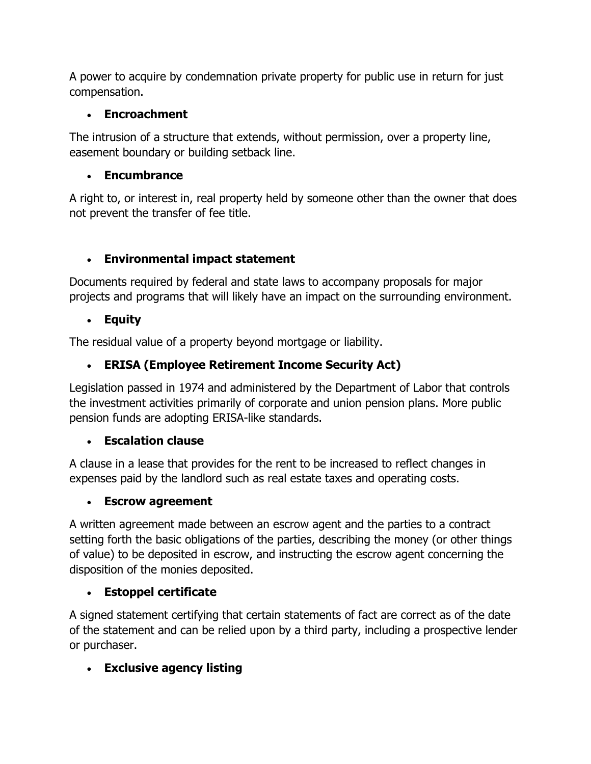A power to acquire by condemnation private property for public use in return for just compensation.

### **Encroachment**

The intrusion of a structure that extends, without permission, over a property line, easement boundary or building setback line.

## **Encumbrance**

A right to, or interest in, real property held by someone other than the owner that does not prevent the transfer of fee title.

# **Environmental impact statement**

Documents required by federal and state laws to accompany proposals for major projects and programs that will likely have an impact on the surrounding environment.

## **Equity**

The residual value of a property beyond mortgage or liability.

# **ERISA (Employee Retirement Income Security Act)**

Legislation passed in 1974 and administered by the Department of Labor that controls the investment activities primarily of corporate and union pension plans. More public pension funds are adopting ERISA-like standards.

### **Escalation clause**

A clause in a lease that provides for the rent to be increased to reflect changes in expenses paid by the landlord such as real estate taxes and operating costs.

### **Escrow agreement**

A written agreement made between an escrow agent and the parties to a contract setting forth the basic obligations of the parties, describing the money (or other things of value) to be deposited in escrow, and instructing the escrow agent concerning the disposition of the monies deposited.

# **Estoppel certificate**

A signed statement certifying that certain statements of fact are correct as of the date of the statement and can be relied upon by a third party, including a prospective lender or purchaser.

# **Exclusive agency listing**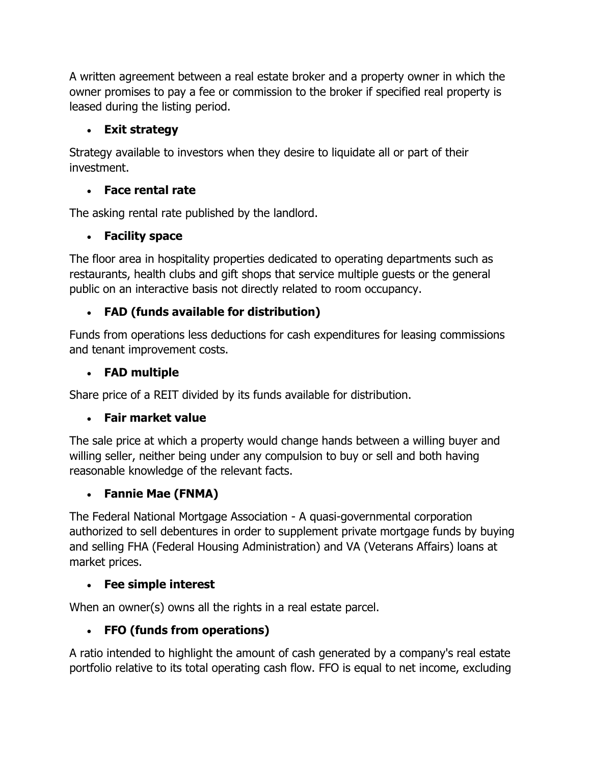A written agreement between a real estate broker and a property owner in which the owner promises to pay a fee or commission to the broker if specified real property is leased during the listing period.

# **Exit strategy**

Strategy available to investors when they desire to liquidate all or part of their investment.

# **Face rental rate**

The asking rental rate published by the landlord.

# **Facility space**

The floor area in hospitality properties dedicated to operating departments such as restaurants, health clubs and gift shops that service multiple guests or the general public on an interactive basis not directly related to room occupancy.

# **FAD (funds available for distribution)**

Funds from operations less deductions for cash expenditures for leasing commissions and tenant improvement costs.

# **FAD multiple**

Share price of a REIT divided by its funds available for distribution.

# **Fair market value**

The sale price at which a property would change hands between a willing buyer and willing seller, neither being under any compulsion to buy or sell and both having reasonable knowledge of the relevant facts.

# **Fannie Mae (FNMA)**

The Federal National Mortgage Association - A quasi-governmental corporation authorized to sell debentures in order to supplement private mortgage funds by buying and selling FHA (Federal Housing Administration) and VA (Veterans Affairs) loans at market prices.

# **Fee simple interest**

When an owner(s) owns all the rights in a real estate parcel.

# **FFO (funds from operations)**

A ratio intended to highlight the amount of cash generated by a company's real estate portfolio relative to its total operating cash flow. FFO is equal to net income, excluding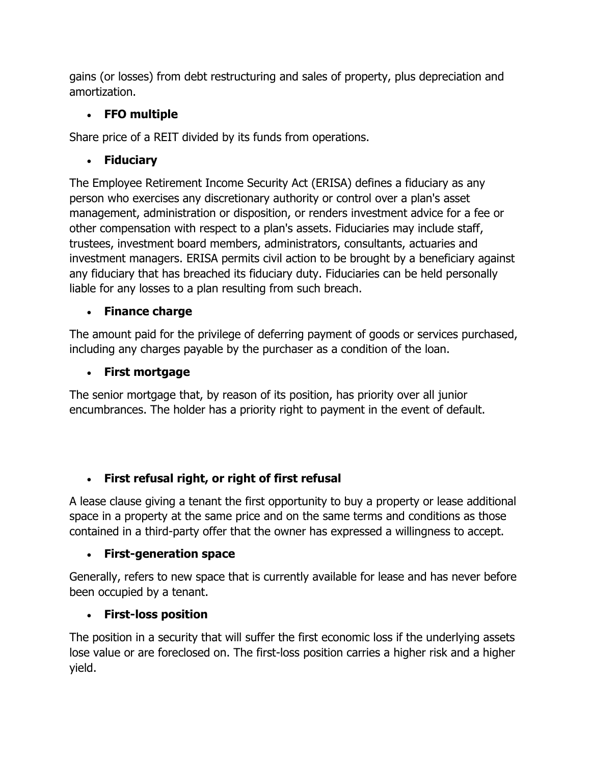gains (or losses) from debt restructuring and sales of property, plus depreciation and amortization.

# **FFO multiple**

Share price of a REIT divided by its funds from operations.

# **Fiduciary**

The Employee Retirement Income Security Act (ERISA) defines a fiduciary as any person who exercises any discretionary authority or control over a plan's asset management, administration or disposition, or renders investment advice for a fee or other compensation with respect to a plan's assets. Fiduciaries may include staff, trustees, investment board members, administrators, consultants, actuaries and investment managers. ERISA permits civil action to be brought by a beneficiary against any fiduciary that has breached its fiduciary duty. Fiduciaries can be held personally liable for any losses to a plan resulting from such breach.

# **Finance charge**

The amount paid for the privilege of deferring payment of goods or services purchased, including any charges payable by the purchaser as a condition of the loan.

# **First mortgage**

The senior mortgage that, by reason of its position, has priority over all junior encumbrances. The holder has a priority right to payment in the event of default.

# **First refusal right, or right of first refusal**

A lease clause giving a tenant the first opportunity to buy a property or lease additional space in a property at the same price and on the same terms and conditions as those contained in a third-party offer that the owner has expressed a willingness to accept.

# **First-generation space**

Generally, refers to new space that is currently available for lease and has never before been occupied by a tenant.

# **First-loss position**

The position in a security that will suffer the first economic loss if the underlying assets lose value or are foreclosed on. The first-loss position carries a higher risk and a higher yield.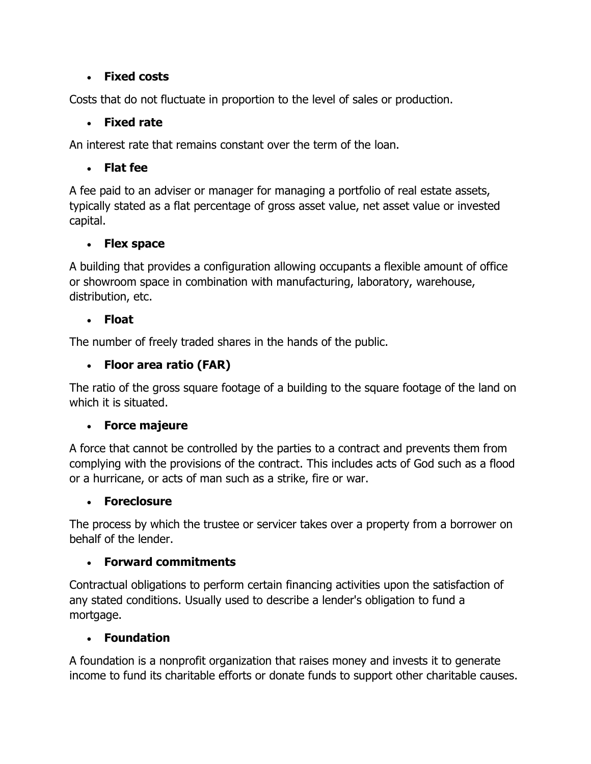### **Fixed costs**

Costs that do not fluctuate in proportion to the level of sales or production.

## **Fixed rate**

An interest rate that remains constant over the term of the loan.

# **Flat fee**

A fee paid to an adviser or manager for managing a portfolio of real estate assets, typically stated as a flat percentage of gross asset value, net asset value or invested capital.

## **Flex space**

A building that provides a configuration allowing occupants a flexible amount of office or showroom space in combination with manufacturing, laboratory, warehouse, distribution, etc.

## **Float**

The number of freely traded shares in the hands of the public.

# **Floor area ratio (FAR)**

The ratio of the gross square footage of a building to the square footage of the land on which it is situated.

# **Force majeure**

A force that cannot be controlled by the parties to a contract and prevents them from complying with the provisions of the contract. This includes acts of God such as a flood or a hurricane, or acts of man such as a strike, fire or war.

# **Foreclosure**

The process by which the trustee or servicer takes over a property from a borrower on behalf of the lender.

# **Forward commitments**

Contractual obligations to perform certain financing activities upon the satisfaction of any stated conditions. Usually used to describe a lender's obligation to fund a mortgage.

# **Foundation**

A foundation is a nonprofit organization that raises money and invests it to generate income to fund its charitable efforts or donate funds to support other charitable causes.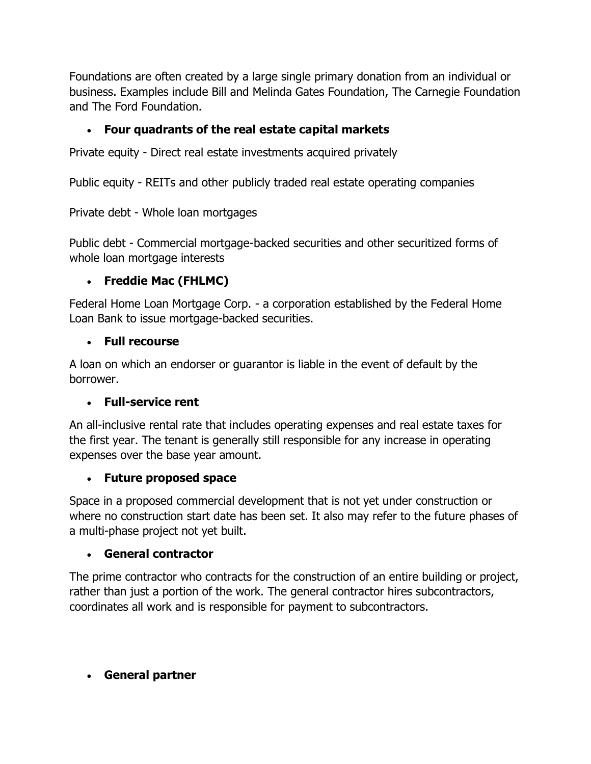Foundations are often created by a large single primary donation from an individual or business. Examples include Bill and Melinda Gates Foundation, The Carnegie Foundation and The Ford Foundation.

## **Four quadrants of the real estate capital markets**

Private equity - Direct real estate investments acquired privately

Public equity - REITs and other publicly traded real estate operating companies

Private debt - Whole loan mortgages

Public debt - Commercial mortgage-backed securities and other securitized forms of whole loan mortgage interests

## **Freddie Mac (FHLMC)**

Federal Home Loan Mortgage Corp. - a corporation established by the Federal Home Loan Bank to issue mortgage-backed securities.

### **Full recourse**

A loan on which an endorser or guarantor is liable in the event of default by the borrower.

### **Full-service rent**

An all-inclusive rental rate that includes operating expenses and real estate taxes for the first year. The tenant is generally still responsible for any increase in operating expenses over the base year amount.

### **Future proposed space**

Space in a proposed commercial development that is not yet under construction or where no construction start date has been set. It also may refer to the future phases of a multi-phase project not yet built.

### **General contractor**

The prime contractor who contracts for the construction of an entire building or project, rather than just a portion of the work. The general contractor hires subcontractors, coordinates all work and is responsible for payment to subcontractors.

# **General partner**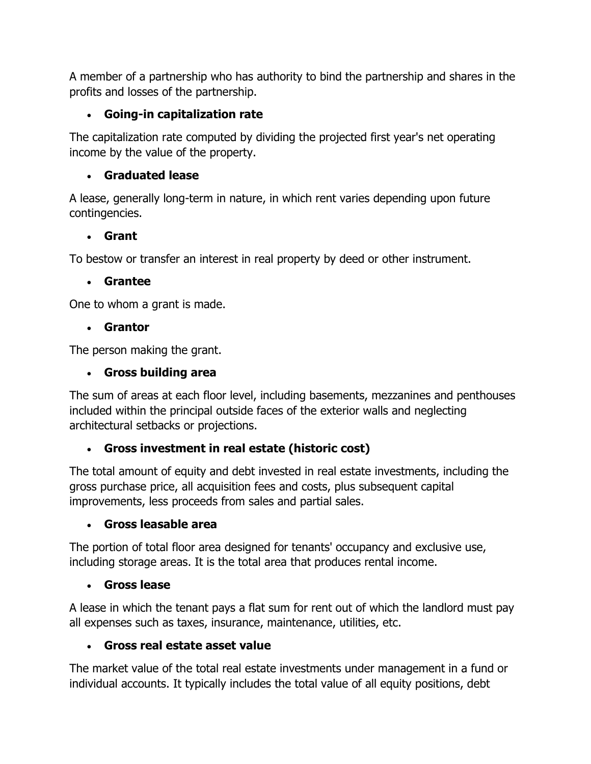A member of a partnership who has authority to bind the partnership and shares in the profits and losses of the partnership.

# **Going-in capitalization rate**

The capitalization rate computed by dividing the projected first year's net operating income by the value of the property.

# **Graduated lease**

A lease, generally long-term in nature, in which rent varies depending upon future contingencies.

# **Grant**

To bestow or transfer an interest in real property by deed or other instrument.

## **Grantee**

One to whom a grant is made.

## **Grantor**

The person making the grant.

# **Gross building area**

The sum of areas at each floor level, including basements, mezzanines and penthouses included within the principal outside faces of the exterior walls and neglecting architectural setbacks or projections.

# **Gross investment in real estate (historic cost)**

The total amount of equity and debt invested in real estate investments, including the gross purchase price, all acquisition fees and costs, plus subsequent capital improvements, less proceeds from sales and partial sales.

# **Gross leasable area**

The portion of total floor area designed for tenants' occupancy and exclusive use, including storage areas. It is the total area that produces rental income.

# **Gross lease**

A lease in which the tenant pays a flat sum for rent out of which the landlord must pay all expenses such as taxes, insurance, maintenance, utilities, etc.

# **Gross real estate asset value**

The market value of the total real estate investments under management in a fund or individual accounts. It typically includes the total value of all equity positions, debt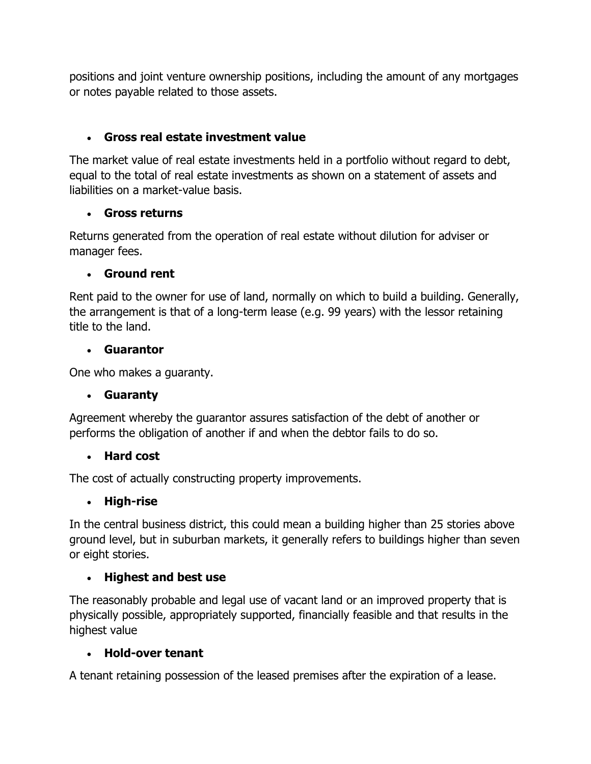positions and joint venture ownership positions, including the amount of any mortgages or notes payable related to those assets.

# **Gross real estate investment value**

The market value of real estate investments held in a portfolio without regard to debt, equal to the total of real estate investments as shown on a statement of assets and liabilities on a market-value basis.

## **Gross returns**

Returns generated from the operation of real estate without dilution for adviser or manager fees.

## **Ground rent**

Rent paid to the owner for use of land, normally on which to build a building. Generally, the arrangement is that of a long-term lease (e.g. 99 years) with the lessor retaining title to the land.

## **Guarantor**

One who makes a guaranty.

# **Guaranty**

Agreement whereby the guarantor assures satisfaction of the debt of another or performs the obligation of another if and when the debtor fails to do so.

# **Hard cost**

The cost of actually constructing property improvements.

# **High-rise**

In the central business district, this could mean a building higher than 25 stories above ground level, but in suburban markets, it generally refers to buildings higher than seven or eight stories.

# **Highest and best use**

The reasonably probable and legal use of vacant land or an improved property that is physically possible, appropriately supported, financially feasible and that results in the highest value

### **Hold-over tenant**

A tenant retaining possession of the leased premises after the expiration of a lease.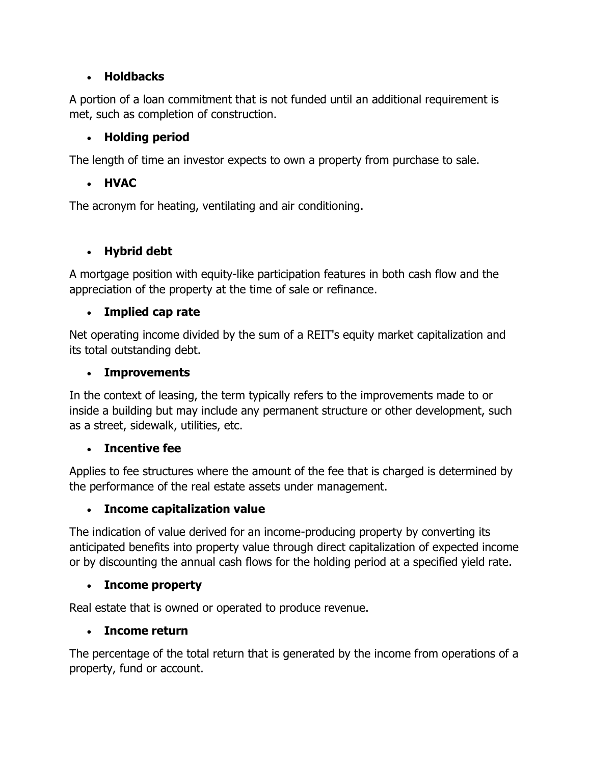### **Holdbacks**

A portion of a loan commitment that is not funded until an additional requirement is met, such as completion of construction.

# **Holding period**

The length of time an investor expects to own a property from purchase to sale.

# **HVAC**

The acronym for heating, ventilating and air conditioning.

# **Hybrid debt**

A mortgage position with equity-like participation features in both cash flow and the appreciation of the property at the time of sale or refinance.

# **Implied cap rate**

Net operating income divided by the sum of a REIT's equity market capitalization and its total outstanding debt.

# **Improvements**

In the context of leasing, the term typically refers to the improvements made to or inside a building but may include any permanent structure or other development, such as a street, sidewalk, utilities, etc.

# **Incentive fee**

Applies to fee structures where the amount of the fee that is charged is determined by the performance of the real estate assets under management.

# **Income capitalization value**

The indication of value derived for an income-producing property by converting its anticipated benefits into property value through direct capitalization of expected income or by discounting the annual cash flows for the holding period at a specified yield rate.

# **Income property**

Real estate that is owned or operated to produce revenue.

# **Income return**

The percentage of the total return that is generated by the income from operations of a property, fund or account.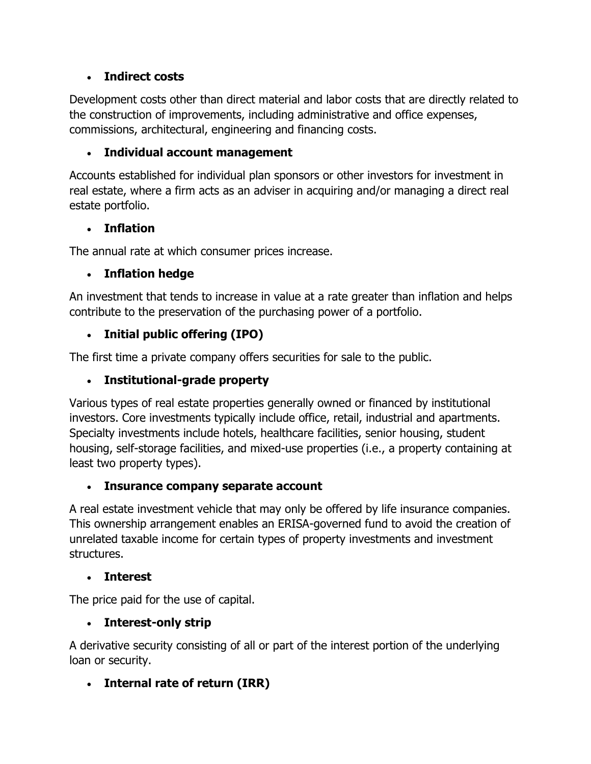## **Indirect costs**

Development costs other than direct material and labor costs that are directly related to the construction of improvements, including administrative and office expenses, commissions, architectural, engineering and financing costs.

# **Individual account management**

Accounts established for individual plan sponsors or other investors for investment in real estate, where a firm acts as an adviser in acquiring and/or managing a direct real estate portfolio.

## **Inflation**

The annual rate at which consumer prices increase.

# **Inflation hedge**

An investment that tends to increase in value at a rate greater than inflation and helps contribute to the preservation of the purchasing power of a portfolio.

# **Initial public offering (IPO)**

The first time a private company offers securities for sale to the public.

# **Institutional-grade property**

Various types of real estate properties generally owned or financed by institutional investors. Core investments typically include office, retail, industrial and apartments. Specialty investments include hotels, healthcare facilities, senior housing, student housing, self-storage facilities, and mixed-use properties (i.e., a property containing at least two property types).

### **Insurance company separate account**

A real estate investment vehicle that may only be offered by life insurance companies. This ownership arrangement enables an ERISA-governed fund to avoid the creation of unrelated taxable income for certain types of property investments and investment structures.

### **Interest**

The price paid for the use of capital.

# **Interest-only strip**

A derivative security consisting of all or part of the interest portion of the underlying loan or security.

# **Internal rate of return (IRR)**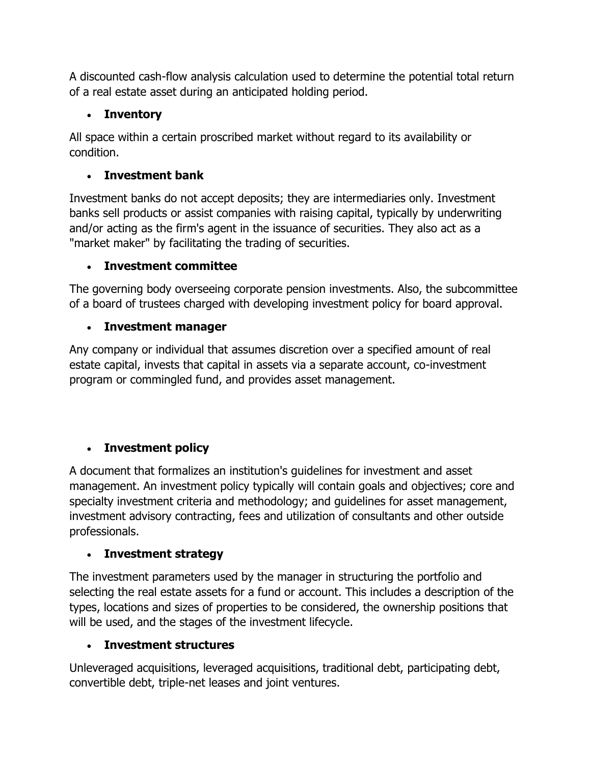A discounted cash-flow analysis calculation used to determine the potential total return of a real estate asset during an anticipated holding period.

# **Inventory**

All space within a certain proscribed market without regard to its availability or condition.

# **Investment bank**

Investment banks do not accept deposits; they are intermediaries only. Investment banks sell products or assist companies with raising capital, typically by underwriting and/or acting as the firm's agent in the issuance of securities. They also act as a "market maker" by facilitating the trading of securities.

# **Investment committee**

The governing body overseeing corporate pension investments. Also, the subcommittee of a board of trustees charged with developing investment policy for board approval.

# **Investment manager**

Any company or individual that assumes discretion over a specified amount of real estate capital, invests that capital in assets via a separate account, co-investment program or commingled fund, and provides asset management.

# **Investment policy**

A document that formalizes an institution's guidelines for investment and asset management. An investment policy typically will contain goals and objectives; core and specialty investment criteria and methodology; and guidelines for asset management, investment advisory contracting, fees and utilization of consultants and other outside professionals.

# **Investment strategy**

The investment parameters used by the manager in structuring the portfolio and selecting the real estate assets for a fund or account. This includes a description of the types, locations and sizes of properties to be considered, the ownership positions that will be used, and the stages of the investment lifecycle.

# **Investment structures**

Unleveraged acquisitions, leveraged acquisitions, traditional debt, participating debt, convertible debt, triple-net leases and joint ventures.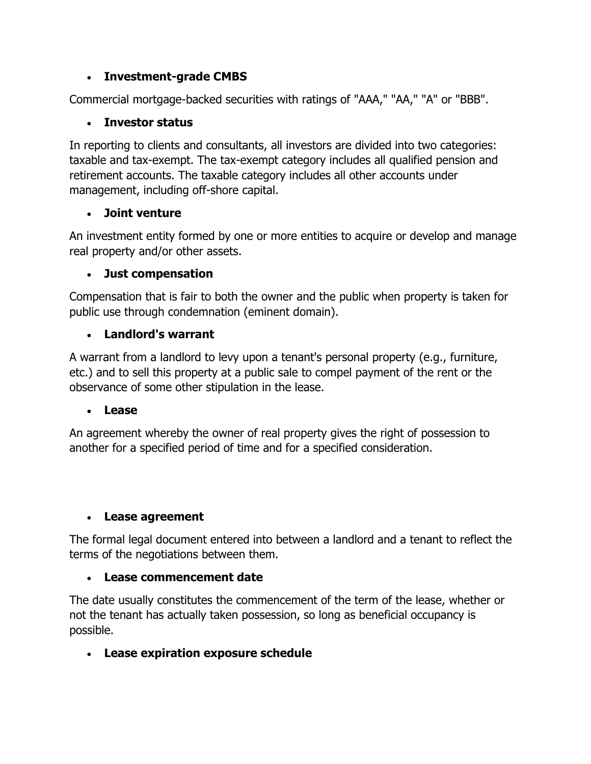### **Investment-grade CMBS**

Commercial mortgage-backed securities with ratings of "AAA," "AA," "A" or "BBB".

### **Investor status**

In reporting to clients and consultants, all investors are divided into two categories: taxable and tax-exempt. The tax-exempt category includes all qualified pension and retirement accounts. The taxable category includes all other accounts under management, including off-shore capital.

### **Joint venture**

An investment entity formed by one or more entities to acquire or develop and manage real property and/or other assets.

### **Just compensation**

Compensation that is fair to both the owner and the public when property is taken for public use through condemnation (eminent domain).

## **Landlord's warrant**

A warrant from a landlord to levy upon a tenant's personal property (e.g., furniture, etc.) and to sell this property at a public sale to compel payment of the rent or the observance of some other stipulation in the lease.

### **Lease**

An agreement whereby the owner of real property gives the right of possession to another for a specified period of time and for a specified consideration.

### **Lease agreement**

The formal legal document entered into between a landlord and a tenant to reflect the terms of the negotiations between them.

### **Lease commencement date**

The date usually constitutes the commencement of the term of the lease, whether or not the tenant has actually taken possession, so long as beneficial occupancy is possible.

# **Lease expiration exposure schedule**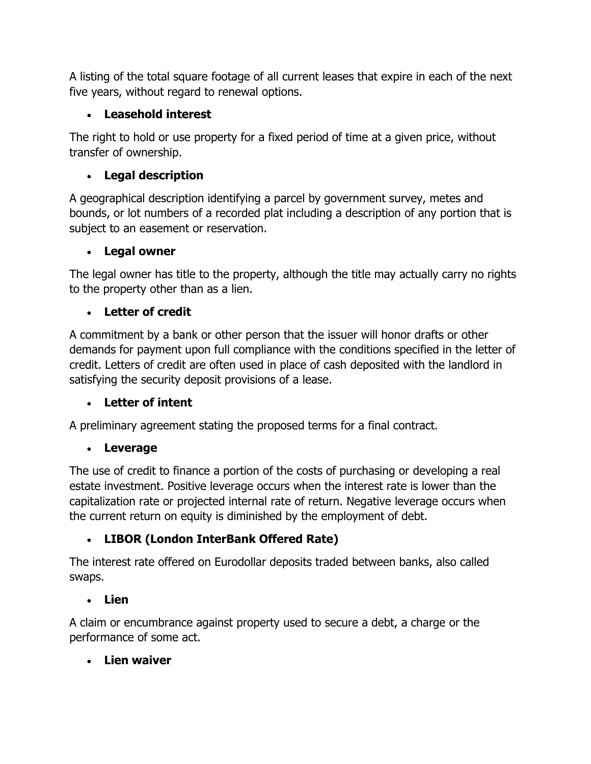A listing of the total square footage of all current leases that expire in each of the next five years, without regard to renewal options.

# **Leasehold interest**

The right to hold or use property for a fixed period of time at a given price, without transfer of ownership.

# **Legal description**

A geographical description identifying a parcel by government survey, metes and bounds, or lot numbers of a recorded plat including a description of any portion that is subject to an easement or reservation.

# **Legal owner**

The legal owner has title to the property, although the title may actually carry no rights to the property other than as a lien.

# **Letter of credit**

A commitment by a bank or other person that the issuer will honor drafts or other demands for payment upon full compliance with the conditions specified in the letter of credit. Letters of credit are often used in place of cash deposited with the landlord in satisfying the security deposit provisions of a lease.

# **Letter of intent**

A preliminary agreement stating the proposed terms for a final contract.

# **Leverage**

The use of credit to finance a portion of the costs of purchasing or developing a real estate investment. Positive leverage occurs when the interest rate is lower than the capitalization rate or projected internal rate of return. Negative leverage occurs when the current return on equity is diminished by the employment of debt.

# **LIBOR (London InterBank Offered Rate)**

The interest rate offered on Eurodollar deposits traded between banks, also called swaps.

# **Lien**

A claim or encumbrance against property used to secure a debt, a charge or the performance of some act.

# **Lien waiver**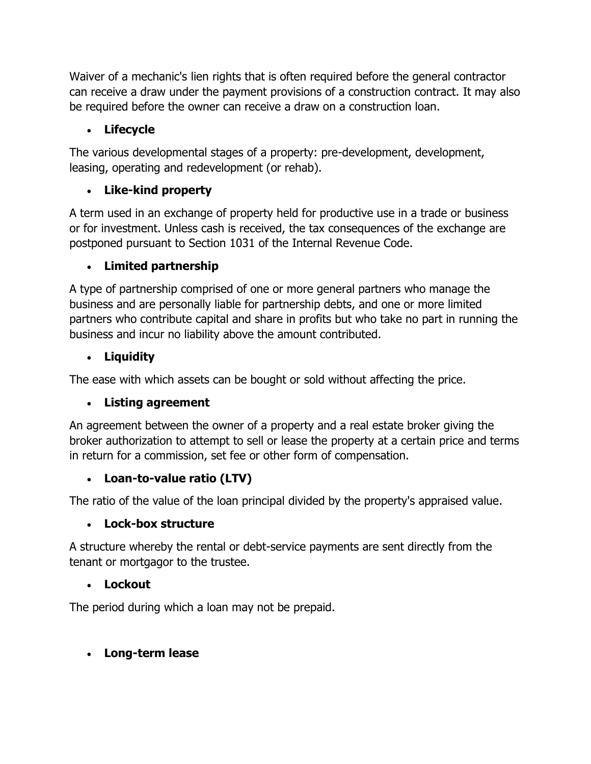Waiver of a mechanic's lien rights that is often required before the general contractor can receive a draw under the payment provisions of a construction contract. It may also be required before the owner can receive a draw on a construction loan.

## **Lifecycle**

The various developmental stages of a property: pre-development, development, leasing, operating and redevelopment (or rehab).

# **Like-kind property**

A term used in an exchange of property held for productive use in a trade or business or for investment. Unless cash is received, the tax consequences of the exchange are postponed pursuant to Section 1031 of the Internal Revenue Code.

# **Limited partnership**

A type of partnership comprised of one or more general partners who manage the business and are personally liable for partnership debts, and one or more limited partners who contribute capital and share in profits but who take no part in running the business and incur no liability above the amount contributed.

## **Liquidity**

The ease with which assets can be bought or sold without affecting the price.

# **Listing agreement**

An agreement between the owner of a property and a real estate broker giving the broker authorization to attempt to sell or lease the property at a certain price and terms in return for a commission, set fee or other form of compensation.

# **Loan-to-value ratio (LTV)**

The ratio of the value of the loan principal divided by the property's appraised value.

### **Lock-box structure**

A structure whereby the rental or debt-service payments are sent directly from the tenant or mortgagor to the trustee.

### **Lockout**

The period during which a loan may not be prepaid.

# **Long-term lease**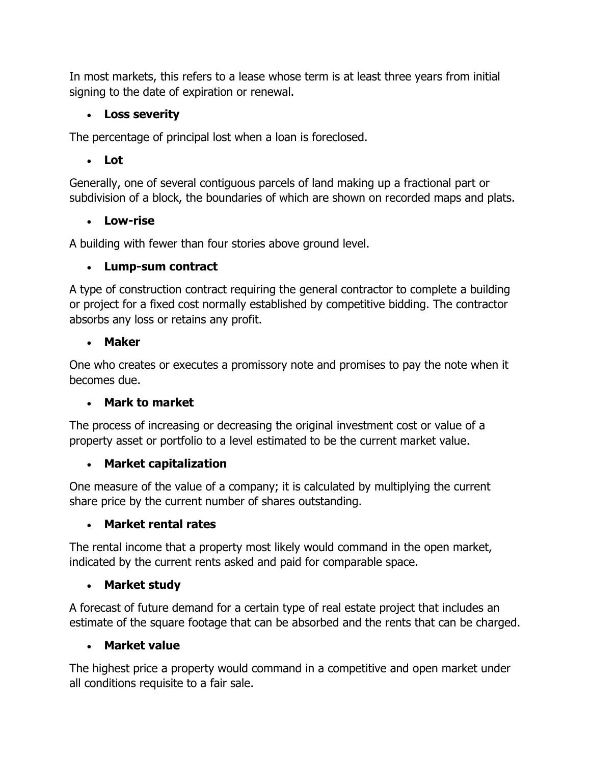In most markets, this refers to a lease whose term is at least three years from initial signing to the date of expiration or renewal.

## **Loss severity**

The percentage of principal lost when a loan is foreclosed.

# **Lot**

Generally, one of several contiguous parcels of land making up a fractional part or subdivision of a block, the boundaries of which are shown on recorded maps and plats.

# **Low-rise**

A building with fewer than four stories above ground level.

# **Lump-sum contract**

A type of construction contract requiring the general contractor to complete a building or project for a fixed cost normally established by competitive bidding. The contractor absorbs any loss or retains any profit.

# **Maker**

One who creates or executes a promissory note and promises to pay the note when it becomes due.

# **Mark to market**

The process of increasing or decreasing the original investment cost or value of a property asset or portfolio to a level estimated to be the current market value.

# **Market capitalization**

One measure of the value of a company; it is calculated by multiplying the current share price by the current number of shares outstanding.

# **Market rental rates**

The rental income that a property most likely would command in the open market, indicated by the current rents asked and paid for comparable space.

# **Market study**

A forecast of future demand for a certain type of real estate project that includes an estimate of the square footage that can be absorbed and the rents that can be charged.

# **Market value**

The highest price a property would command in a competitive and open market under all conditions requisite to a fair sale.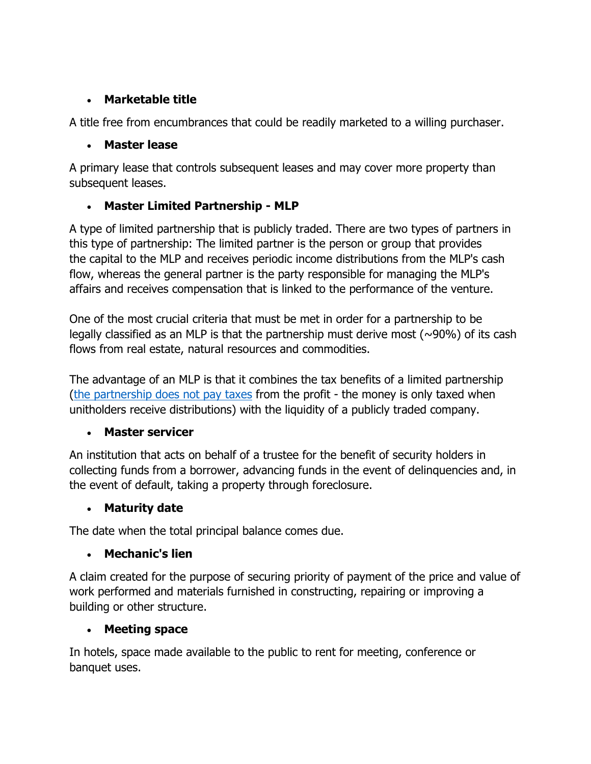## **Marketable title**

A title free from encumbrances that could be readily marketed to a willing purchaser.

# **Master lease**

A primary lease that controls subsequent leases and may cover more property than subsequent leases.

# **Master Limited Partnership - MLP**

A type of limited partnership that is publicly traded. There are two types of partners in this type of partnership: The limited partner is the person or group that provides the capital to the MLP and receives periodic income distributions from the MLP's cash flow, whereas the general partner is the party responsible for managing the MLP's affairs and receives compensation that is linked to the performance of the venture.

One of the most crucial criteria that must be met in order for a partnership to be legally classified as an MLP is that the partnership must derive most ( $\sim$ 90%) of its cash flows from real estate, natural resources and commodities.

The advantage of an MLP is that it combines the tax benefits of a limited partnership [\(the partnership does not pay](http://www.investopedia.com/terms/m/mlp.asp) taxes from the profit - the money is only taxed when unitholders receive distributions) with the liquidity of a publicly traded company.

# **Master servicer**

An institution that acts on behalf of a trustee for the benefit of security holders in collecting funds from a borrower, advancing funds in the event of delinquencies and, in the event of default, taking a property through foreclosure.

# **Maturity date**

The date when the total principal balance comes due.

# **Mechanic's lien**

A claim created for the purpose of securing priority of payment of the price and value of work performed and materials furnished in constructing, repairing or improving a building or other structure.

# **Meeting space**

In hotels, space made available to the public to rent for meeting, conference or banquet uses.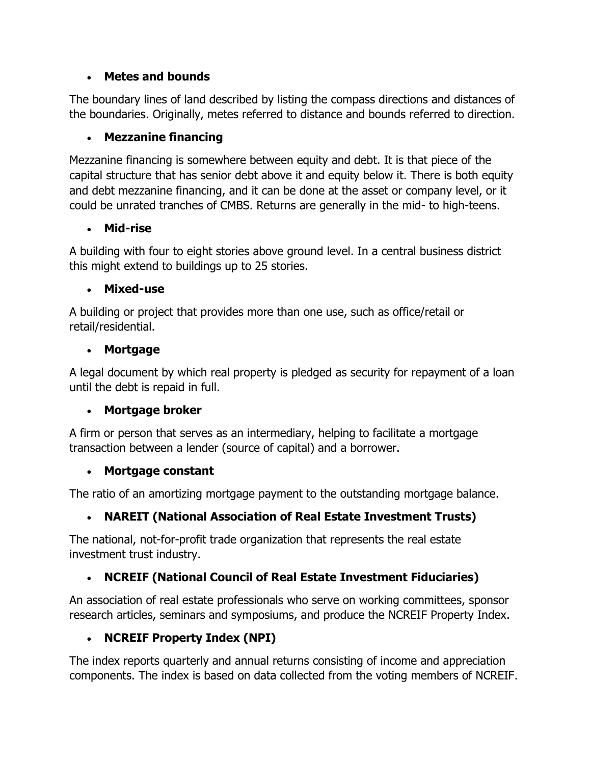### **Metes and bounds**

The boundary lines of land described by listing the compass directions and distances of the boundaries. Originally, metes referred to distance and bounds referred to direction.

# **Mezzanine financing**

Mezzanine financing is somewhere between equity and debt. It is that piece of the capital structure that has senior debt above it and equity below it. There is both equity and debt mezzanine financing, and it can be done at the asset or company level, or it could be unrated tranches of CMBS. Returns are generally in the mid- to high-teens.

## **Mid-rise**

A building with four to eight stories above ground level. In a central business district this might extend to buildings up to 25 stories.

# **Mixed-use**

A building or project that provides more than one use, such as office/retail or retail/residential.

## **Mortgage**

A legal document by which real property is pledged as security for repayment of a loan until the debt is repaid in full.

# **Mortgage broker**

A firm or person that serves as an intermediary, helping to facilitate a mortgage transaction between a lender (source of capital) and a borrower.

### **Mortgage constant**

The ratio of an amortizing mortgage payment to the outstanding mortgage balance.

# **NAREIT (National Association of Real Estate Investment Trusts)**

The national, not-for-profit trade organization that represents the real estate investment trust industry.

# **NCREIF (National Council of Real Estate Investment Fiduciaries)**

An association of real estate professionals who serve on working committees, sponsor research articles, seminars and symposiums, and produce the NCREIF Property Index.

# **NCREIF Property Index (NPI)**

The index reports quarterly and annual returns consisting of income and appreciation components. The index is based on data collected from the voting members of NCREIF.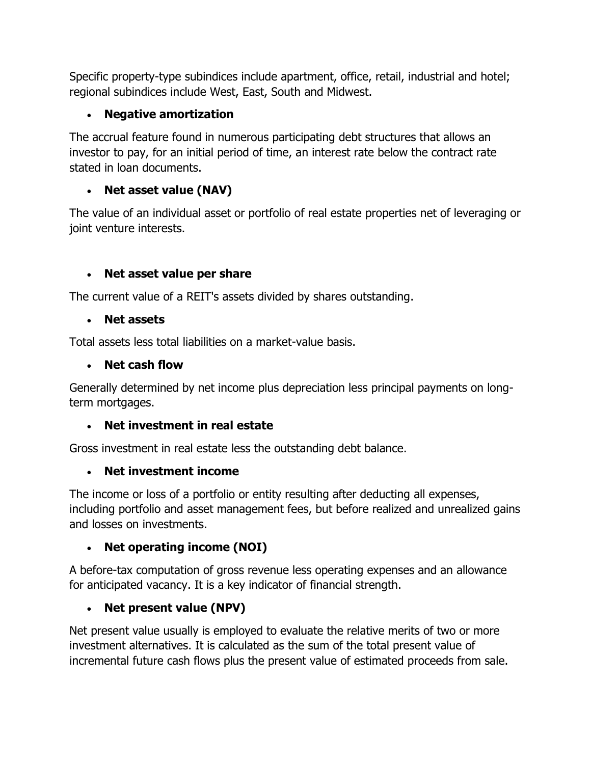Specific property-type subindices include apartment, office, retail, industrial and hotel; regional subindices include West, East, South and Midwest.

## **Negative amortization**

The accrual feature found in numerous participating debt structures that allows an investor to pay, for an initial period of time, an interest rate below the contract rate stated in loan documents.

## **Net asset value (NAV)**

The value of an individual asset or portfolio of real estate properties net of leveraging or joint venture interests.

## **Net asset value per share**

The current value of a REIT's assets divided by shares outstanding.

#### **Net assets**

Total assets less total liabilities on a market-value basis.

#### **Net cash flow**

Generally determined by net income plus depreciation less principal payments on longterm mortgages.

### **Net investment in real estate**

Gross investment in real estate less the outstanding debt balance.

### **Net investment income**

The income or loss of a portfolio or entity resulting after deducting all expenses, including portfolio and asset management fees, but before realized and unrealized gains and losses on investments.

### **Net operating income (NOI)**

A before-tax computation of gross revenue less operating expenses and an allowance for anticipated vacancy. It is a key indicator of financial strength.

### **Net present value (NPV)**

Net present value usually is employed to evaluate the relative merits of two or more investment alternatives. It is calculated as the sum of the total present value of incremental future cash flows plus the present value of estimated proceeds from sale.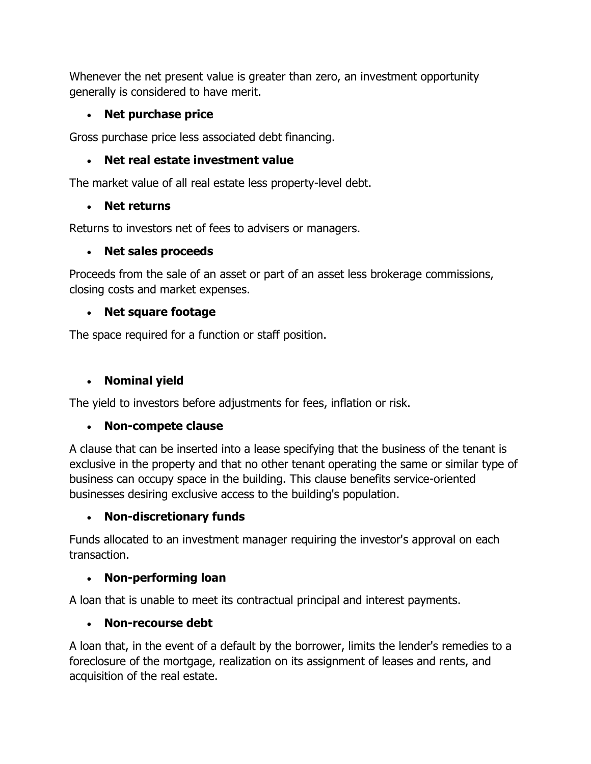Whenever the net present value is greater than zero, an investment opportunity generally is considered to have merit.

## **Net purchase price**

Gross purchase price less associated debt financing.

## **Net real estate investment value**

The market value of all real estate less property-level debt.

## **Net returns**

Returns to investors net of fees to advisers or managers.

## **Net sales proceeds**

Proceeds from the sale of an asset or part of an asset less brokerage commissions, closing costs and market expenses.

## **Net square footage**

The space required for a function or staff position.

# **Nominal yield**

The yield to investors before adjustments for fees, inflation or risk.

# **Non-compete clause**

A clause that can be inserted into a lease specifying that the business of the tenant is exclusive in the property and that no other tenant operating the same or similar type of business can occupy space in the building. This clause benefits service-oriented businesses desiring exclusive access to the building's population.

# **Non-discretionary funds**

Funds allocated to an investment manager requiring the investor's approval on each transaction.

# **Non-performing loan**

A loan that is unable to meet its contractual principal and interest payments.

# **Non-recourse debt**

A loan that, in the event of a default by the borrower, limits the lender's remedies to a foreclosure of the mortgage, realization on its assignment of leases and rents, and acquisition of the real estate.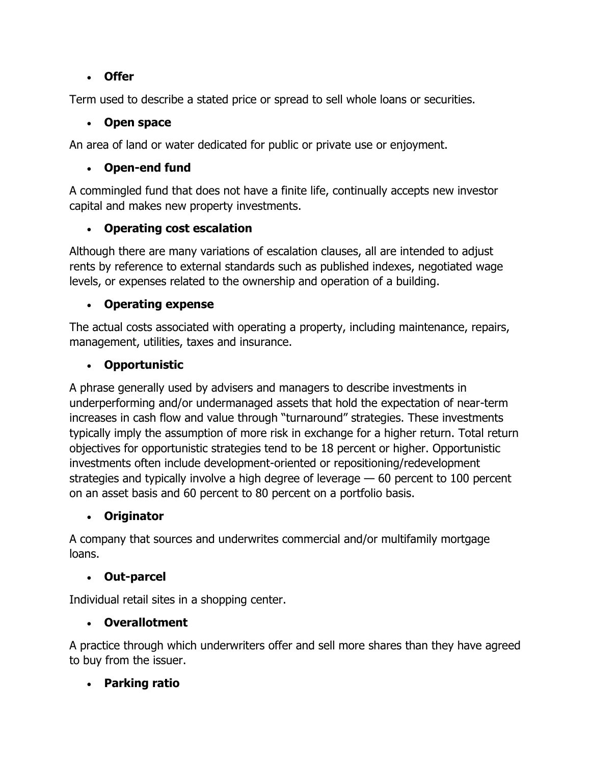### **Offer**

Term used to describe a stated price or spread to sell whole loans or securities.

## **Open space**

An area of land or water dedicated for public or private use or enjoyment.

# **Open-end fund**

A commingled fund that does not have a finite life, continually accepts new investor capital and makes new property investments.

# **Operating cost escalation**

Although there are many variations of escalation clauses, all are intended to adjust rents by reference to external standards such as published indexes, negotiated wage levels, or expenses related to the ownership and operation of a building.

# **Operating expense**

The actual costs associated with operating a property, including maintenance, repairs, management, utilities, taxes and insurance.

# **Opportunistic**

A phrase generally used by advisers and managers to describe investments in underperforming and/or undermanaged assets that hold the expectation of near-term increases in cash flow and value through "turnaround" strategies. These investments typically imply the assumption of more risk in exchange for a higher return. Total return objectives for opportunistic strategies tend to be 18 percent or higher. Opportunistic investments often include development-oriented or repositioning/redevelopment strategies and typically involve a high degree of leverage — 60 percent to 100 percent on an asset basis and 60 percent to 80 percent on a portfolio basis.

# **Originator**

A company that sources and underwrites commercial and/or multifamily mortgage loans.

# **Out-parcel**

Individual retail sites in a shopping center.

# **Overallotment**

A practice through which underwriters offer and sell more shares than they have agreed to buy from the issuer.

# **Parking ratio**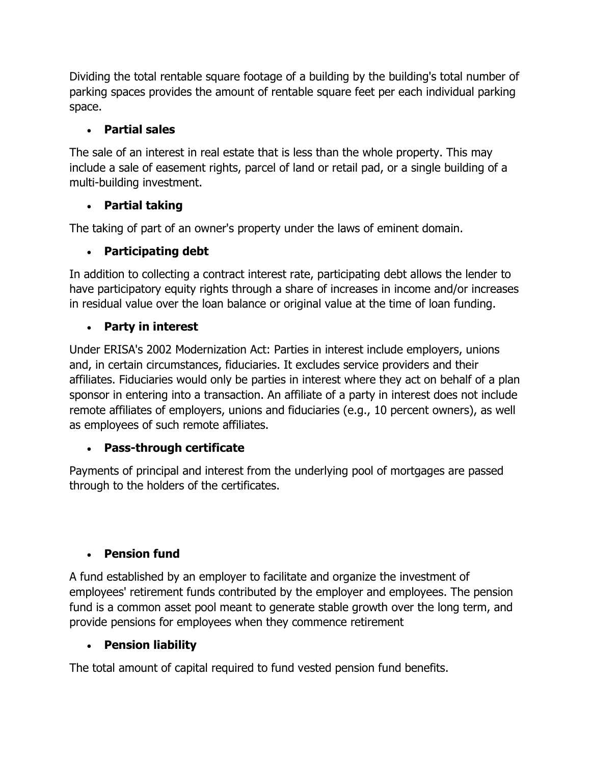Dividing the total rentable square footage of a building by the building's total number of parking spaces provides the amount of rentable square feet per each individual parking space.

# **Partial sales**

The sale of an interest in real estate that is less than the whole property. This may include a sale of easement rights, parcel of land or retail pad, or a single building of a multi-building investment.

# **Partial taking**

The taking of part of an owner's property under the laws of eminent domain.

## **Participating debt**

In addition to collecting a contract interest rate, participating debt allows the lender to have participatory equity rights through a share of increases in income and/or increases in residual value over the loan balance or original value at the time of loan funding.

### **Party in interest**

Under ERISA's 2002 Modernization Act: Parties in interest include employers, unions and, in certain circumstances, fiduciaries. It excludes service providers and their affiliates. Fiduciaries would only be parties in interest where they act on behalf of a plan sponsor in entering into a transaction. An affiliate of a party in interest does not include remote affiliates of employers, unions and fiduciaries (e.g., 10 percent owners), as well as employees of such remote affiliates.

### **Pass-through certificate**

Payments of principal and interest from the underlying pool of mortgages are passed through to the holders of the certificates.

### **Pension fund**

A fund established by an employer to facilitate and organize the investment of employees' retirement funds contributed by the employer and employees. The pension fund is a common asset pool meant to generate stable growth over the long term, and provide pensions for employees when they commence retirement

# **Pension liability**

The total amount of capital required to fund vested pension fund benefits.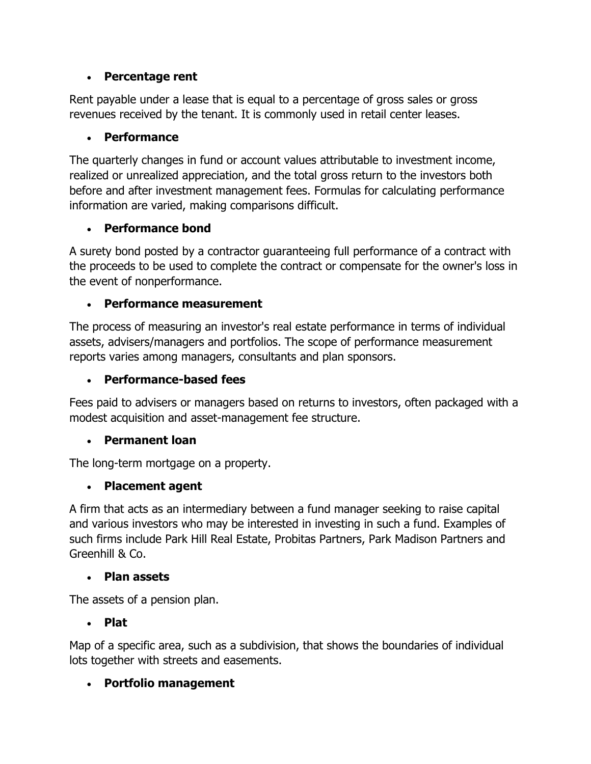### **Percentage rent**

Rent payable under a lease that is equal to a percentage of gross sales or gross revenues received by the tenant. It is commonly used in retail center leases.

### **Performance**

The quarterly changes in fund or account values attributable to investment income, realized or unrealized appreciation, and the total gross return to the investors both before and after investment management fees. Formulas for calculating performance information are varied, making comparisons difficult.

# **Performance bond**

A surety bond posted by a contractor guaranteeing full performance of a contract with the proceeds to be used to complete the contract or compensate for the owner's loss in the event of nonperformance.

## **Performance measurement**

The process of measuring an investor's real estate performance in terms of individual assets, advisers/managers and portfolios. The scope of performance measurement reports varies among managers, consultants and plan sponsors.

## **Performance-based fees**

Fees paid to advisers or managers based on returns to investors, often packaged with a modest acquisition and asset-management fee structure.

### **Permanent loan**

The long-term mortgage on a property.

# **Placement agent**

A firm that acts as an intermediary between a fund manager seeking to raise capital and various investors who may be interested in investing in such a fund. Examples of such firms include Park Hill Real Estate, Probitas Partners, Park Madison Partners and Greenhill & Co.

### **Plan assets**

The assets of a pension plan.

### **Plat**

Map of a specific area, such as a subdivision, that shows the boundaries of individual lots together with streets and easements.

# **Portfolio management**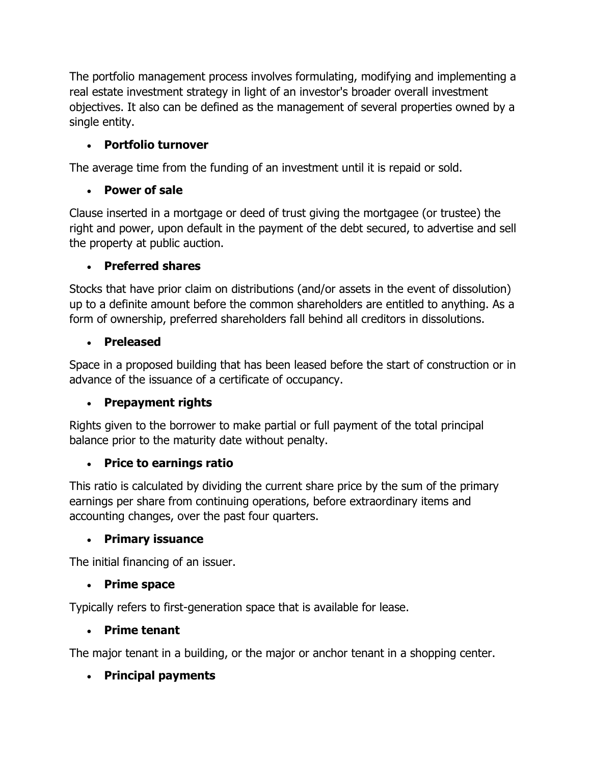The portfolio management process involves formulating, modifying and implementing a real estate investment strategy in light of an investor's broader overall investment objectives. It also can be defined as the management of several properties owned by a single entity.

## **Portfolio turnover**

The average time from the funding of an investment until it is repaid or sold.

## **Power of sale**

Clause inserted in a mortgage or deed of trust giving the mortgagee (or trustee) the right and power, upon default in the payment of the debt secured, to advertise and sell the property at public auction.

### **Preferred shares**

Stocks that have prior claim on distributions (and/or assets in the event of dissolution) up to a definite amount before the common shareholders are entitled to anything. As a form of ownership, preferred shareholders fall behind all creditors in dissolutions.

### **Preleased**

Space in a proposed building that has been leased before the start of construction or in advance of the issuance of a certificate of occupancy.

# **Prepayment rights**

Rights given to the borrower to make partial or full payment of the total principal balance prior to the maturity date without penalty.

### **Price to earnings ratio**

This ratio is calculated by dividing the current share price by the sum of the primary earnings per share from continuing operations, before extraordinary items and accounting changes, over the past four quarters.

### **Primary issuance**

The initial financing of an issuer.

### **Prime space**

Typically refers to first-generation space that is available for lease.

### **Prime tenant**

The major tenant in a building, or the major or anchor tenant in a shopping center.

# **Principal payments**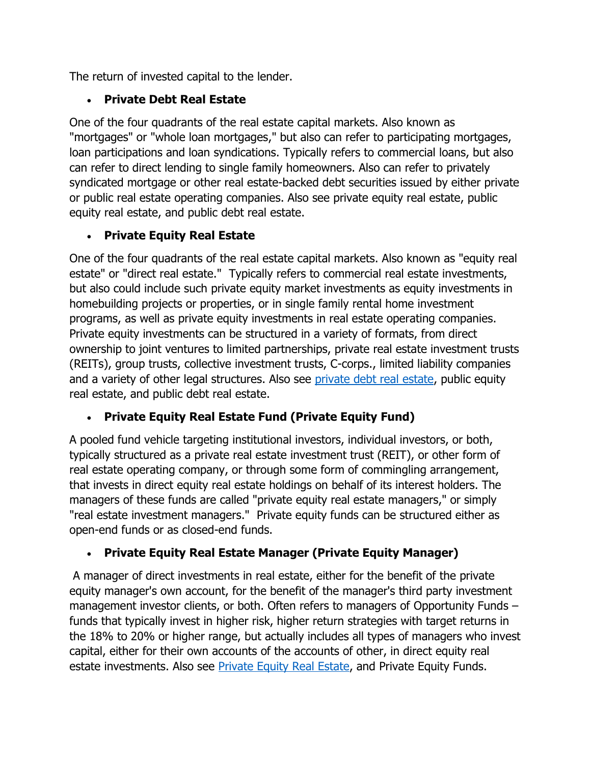The return of invested capital to the lender.

# **Private Debt Real Estate**

One of the four quadrants of the real estate capital markets. Also known as "mortgages" or "whole loan mortgages," but also can refer to participating mortgages, loan participations and loan syndications. Typically refers to commercial loans, but also can refer to direct lending to single family homeowners. Also can refer to privately syndicated mortgage or other real estate-backed debt securities issued by either private or public real estate operating companies. Also see private equity real estate, public equity real estate, and public debt real estate.

# **Private Equity Real Estate**

One of the four quadrants of the real estate capital markets. Also known as "equity real estate" or "direct real estate." Typically refers to commercial real estate investments, but also could include such private equity market investments as equity investments in homebuilding projects or properties, or in single family rental home investment programs, as well as private equity investments in real estate operating companies. Private equity investments can be structured in a variety of formats, from direct ownership to joint ventures to limited partnerships, private real estate investment trusts (REITs), group trusts, collective investment trusts, C-corps., limited liability companies and a variety of other legal structures. Also see [private debt real estate,](http://www.irei.com/industry-resources/glossary/P#PDRE) public equity real estate, and public debt real estate.

# **Private Equity Real Estate Fund (Private Equity Fund)**

A pooled fund vehicle targeting institutional investors, individual investors, or both, typically structured as a private real estate investment trust (REIT), or other form of real estate operating company, or through some form of commingling arrangement, that invests in direct equity real estate holdings on behalf of its interest holders. The managers of these funds are called "private equity real estate managers," or simply "real estate investment managers." Private equity funds can be structured either as open-end funds or as closed-end funds.

# **Private Equity Real Estate Manager (Private Equity Manager)**

A manager of direct investments in real estate, either for the benefit of the private equity manager's own account, for the benefit of the manager's third party investment management investor clients, or both. Often refers to managers of Opportunity Funds – funds that typically invest in higher risk, higher return strategies with target returns in the 18% to 20% or higher range, but actually includes all types of managers who invest capital, either for their own accounts of the accounts of other, in direct equity real estate investments. Also see [Private Equity Real Estate,](http://www.irei.com/industry-resources/glossary/P#PERE) and Private Equity Funds.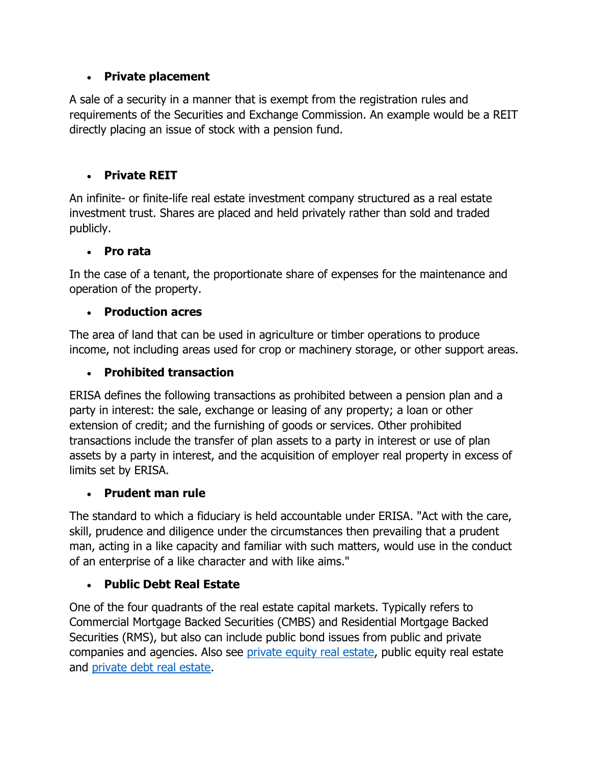### **Private placement**

A sale of a security in a manner that is exempt from the registration rules and requirements of the Securities and Exchange Commission. An example would be a REIT directly placing an issue of stock with a pension fund.

### **Private REIT**

An infinite- or finite-life real estate investment company structured as a real estate investment trust. Shares are placed and held privately rather than sold and traded publicly.

### **Pro rata**

In the case of a tenant, the proportionate share of expenses for the maintenance and operation of the property.

## **Production acres**

The area of land that can be used in agriculture or timber operations to produce income, not including areas used for crop or machinery storage, or other support areas.

## **Prohibited transaction**

ERISA defines the following transactions as prohibited between a pension plan and a party in interest: the sale, exchange or leasing of any property; a loan or other extension of credit; and the furnishing of goods or services. Other prohibited transactions include the transfer of plan assets to a party in interest or use of plan assets by a party in interest, and the acquisition of employer real property in excess of limits set by ERISA.

### **Prudent man rule**

The standard to which a fiduciary is held accountable under ERISA. "Act with the care, skill, prudence and diligence under the circumstances then prevailing that a prudent man, acting in a like capacity and familiar with such matters, would use in the conduct of an enterprise of a like character and with like aims."

### **Public Debt Real Estate**

One of the four quadrants of the real estate capital markets. Typically refers to Commercial Mortgage Backed Securities (CMBS) and Residential Mortgage Backed Securities (RMS), but also can include public bond issues from public and private companies and agencies. Also see [private equity real estate,](http://www.irei.com/industry-resources/glossary/P#PERE) public equity real estate and [private debt real estate.](http://www.irei.com/industry-resources/glossary/P#PDRE)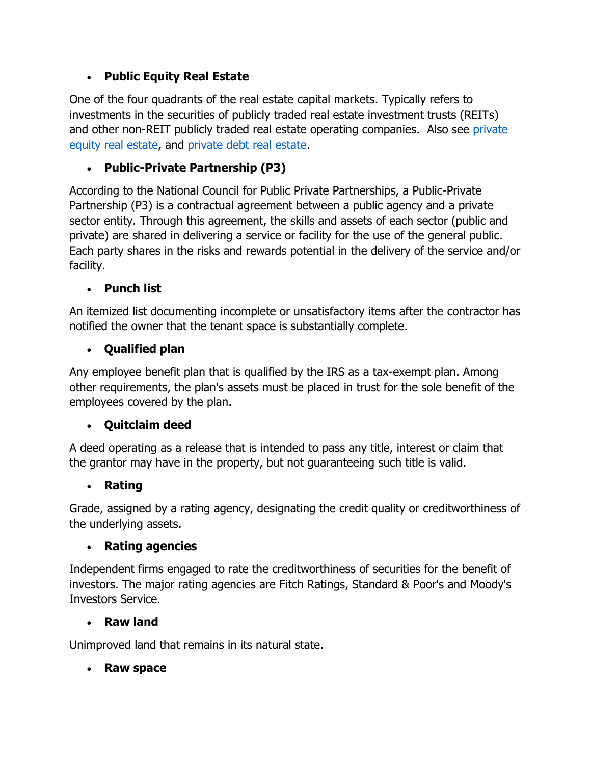## **Public Equity Real Estate**

One of the four quadrants of the real estate capital markets. Typically refers to investments in the securities of publicly traded real estate investment trusts (REITs) and other non-REIT publicly traded real estate operating companies. Also see [private](http://www.irei.com/industry-resources/glossary/P#PERE)  [equity real estate,](http://www.irei.com/industry-resources/glossary/P#PERE) and [private debt real estate.](http://www.irei.com/industry-resources/glossary/P#PDRE)

## **Public-Private Partnership (P3)**

According to the National Council for Public Private Partnerships, a Public-Private Partnership (P3) is a contractual agreement between a public agency and a private sector entity. Through this agreement, the skills and assets of each sector (public and private) are shared in delivering a service or facility for the use of the general public. Each party shares in the risks and rewards potential in the delivery of the service and/or facility.

### **Punch list**

An itemized list documenting incomplete or unsatisfactory items after the contractor has notified the owner that the tenant space is substantially complete.

### **Qualified plan**

Any employee benefit plan that is qualified by the IRS as a tax-exempt plan. Among other requirements, the plan's assets must be placed in trust for the sole benefit of the employees covered by the plan.

### **Quitclaim deed**

A deed operating as a release that is intended to pass any title, interest or claim that the grantor may have in the property, but not guaranteeing such title is valid.

### **Rating**

Grade, assigned by a rating agency, designating the credit quality or creditworthiness of the underlying assets.

### **Rating agencies**

Independent firms engaged to rate the creditworthiness of securities for the benefit of investors. The major rating agencies are Fitch Ratings, Standard & Poor's and Moody's Investors Service.

### **Raw land**

Unimproved land that remains in its natural state.

### **Raw space**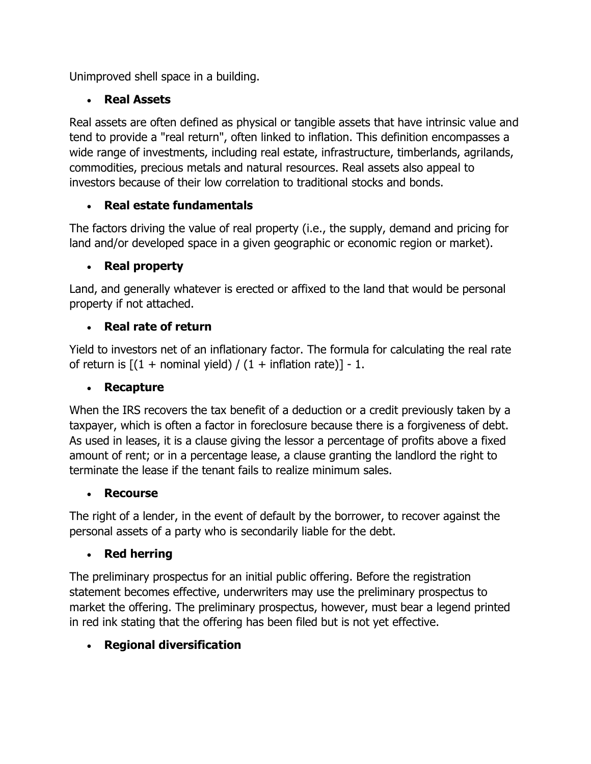Unimproved shell space in a building.

# **Real Assets**

Real assets are often defined as physical or tangible assets that have intrinsic value and tend to provide a "real return", often linked to inflation. This definition encompasses a wide range of investments, including real estate, infrastructure, timberlands, agrilands, commodities, precious metals and natural resources. Real assets also appeal to investors because of their low correlation to traditional stocks and bonds.

# **Real estate fundamentals**

The factors driving the value of real property (i.e., the supply, demand and pricing for land and/or developed space in a given geographic or economic region or market).

# **Real property**

Land, and generally whatever is erected or affixed to the land that would be personal property if not attached.

# **Real rate of return**

Yield to investors net of an inflationary factor. The formula for calculating the real rate of return is  $[(1 + \text{nominal yield}) / (1 + \text{inflation rate})] - 1$ .

# **Recapture**

When the IRS recovers the tax benefit of a deduction or a credit previously taken by a taxpayer, which is often a factor in foreclosure because there is a forgiveness of debt. As used in leases, it is a clause giving the lessor a percentage of profits above a fixed amount of rent; or in a percentage lease, a clause granting the landlord the right to terminate the lease if the tenant fails to realize minimum sales.

# **Recourse**

The right of a lender, in the event of default by the borrower, to recover against the personal assets of a party who is secondarily liable for the debt.

# **Red herring**

The preliminary prospectus for an initial public offering. Before the registration statement becomes effective, underwriters may use the preliminary prospectus to market the offering. The preliminary prospectus, however, must bear a legend printed in red ink stating that the offering has been filed but is not yet effective.

# **Regional diversification**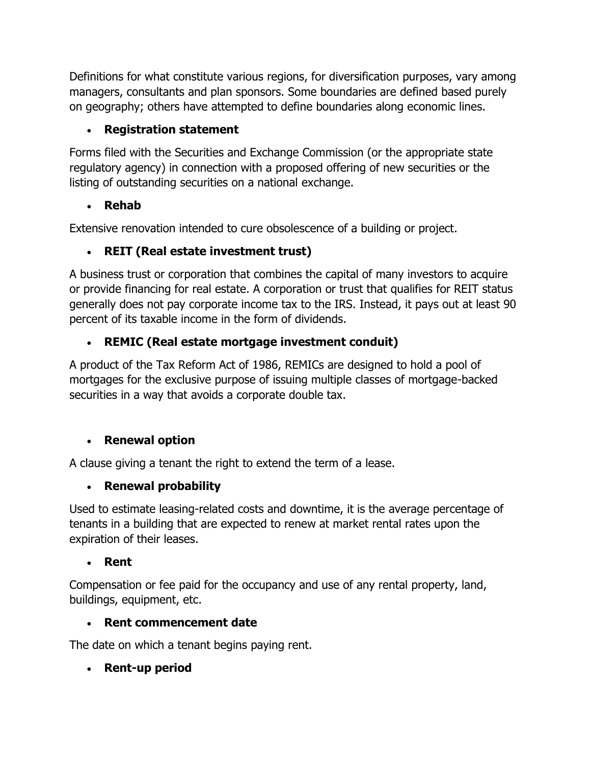Definitions for what constitute various regions, for diversification purposes, vary among managers, consultants and plan sponsors. Some boundaries are defined based purely on geography; others have attempted to define boundaries along economic lines.

# **Registration statement**

Forms filed with the Securities and Exchange Commission (or the appropriate state regulatory agency) in connection with a proposed offering of new securities or the listing of outstanding securities on a national exchange.

# **Rehab**

Extensive renovation intended to cure obsolescence of a building or project.

# **REIT (Real estate investment trust)**

A business trust or corporation that combines the capital of many investors to acquire or provide financing for real estate. A corporation or trust that qualifies for REIT status generally does not pay corporate income tax to the IRS. Instead, it pays out at least 90 percent of its taxable income in the form of dividends.

# **REMIC (Real estate mortgage investment conduit)**

A product of the Tax Reform Act of 1986, REMICs are designed to hold a pool of mortgages for the exclusive purpose of issuing multiple classes of mortgage-backed securities in a way that avoids a corporate double tax.

# **Renewal option**

A clause giving a tenant the right to extend the term of a lease.

# **Renewal probability**

Used to estimate leasing-related costs and downtime, it is the average percentage of tenants in a building that are expected to renew at market rental rates upon the expiration of their leases.

# **Rent**

Compensation or fee paid for the occupancy and use of any rental property, land, buildings, equipment, etc.

# **Rent commencement date**

The date on which a tenant begins paying rent.

# **Rent-up period**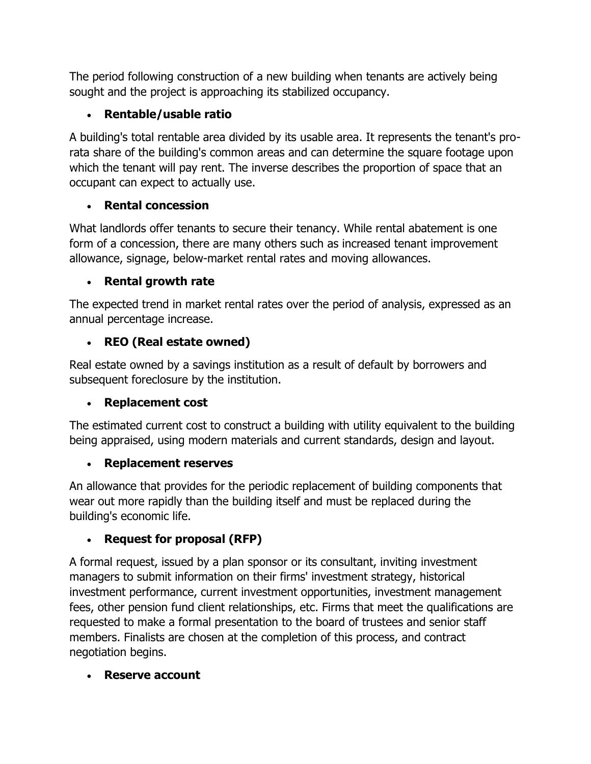The period following construction of a new building when tenants are actively being sought and the project is approaching its stabilized occupancy.

# **Rentable/usable ratio**

A building's total rentable area divided by its usable area. It represents the tenant's prorata share of the building's common areas and can determine the square footage upon which the tenant will pay rent. The inverse describes the proportion of space that an occupant can expect to actually use.

# **Rental concession**

What landlords offer tenants to secure their tenancy. While rental abatement is one form of a concession, there are many others such as increased tenant improvement allowance, signage, below-market rental rates and moving allowances.

# **Rental growth rate**

The expected trend in market rental rates over the period of analysis, expressed as an annual percentage increase.

# **REO (Real estate owned)**

Real estate owned by a savings institution as a result of default by borrowers and subsequent foreclosure by the institution.

# **Replacement cost**

The estimated current cost to construct a building with utility equivalent to the building being appraised, using modern materials and current standards, design and layout.

# **Replacement reserves**

An allowance that provides for the periodic replacement of building components that wear out more rapidly than the building itself and must be replaced during the building's economic life.

# **Request for proposal (RFP)**

A formal request, issued by a plan sponsor or its consultant, inviting investment managers to submit information on their firms' investment strategy, historical investment performance, current investment opportunities, investment management fees, other pension fund client relationships, etc. Firms that meet the qualifications are requested to make a formal presentation to the board of trustees and senior staff members. Finalists are chosen at the completion of this process, and contract negotiation begins.

# **Reserve account**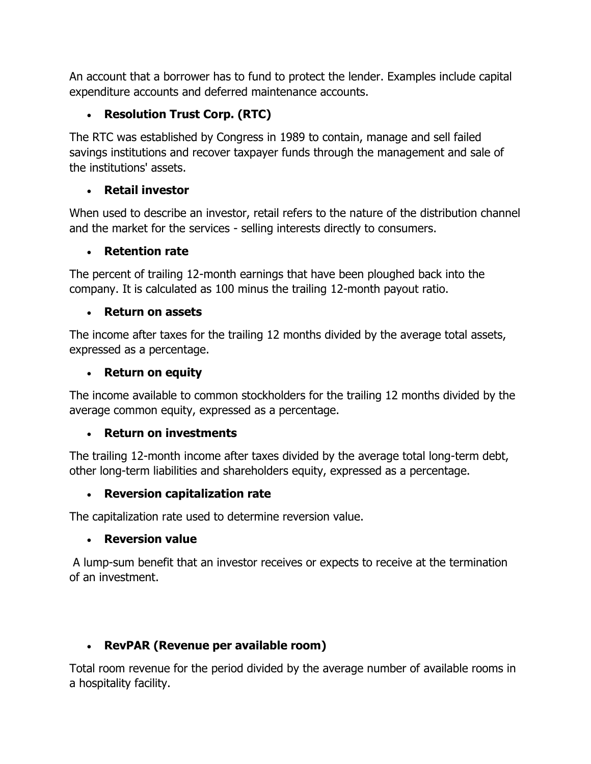An account that a borrower has to fund to protect the lender. Examples include capital expenditure accounts and deferred maintenance accounts.

# **Resolution Trust Corp. (RTC)**

The RTC was established by Congress in 1989 to contain, manage and sell failed savings institutions and recover taxpayer funds through the management and sale of the institutions' assets.

### **Retail investor**

When used to describe an investor, retail refers to the nature of the distribution channel and the market for the services - selling interests directly to consumers.

### **Retention rate**

The percent of trailing 12-month earnings that have been ploughed back into the company. It is calculated as 100 minus the trailing 12-month payout ratio.

## **Return on assets**

The income after taxes for the trailing 12 months divided by the average total assets, expressed as a percentage.

### **Return on equity**

The income available to common stockholders for the trailing 12 months divided by the average common equity, expressed as a percentage.

### **Return on investments**

The trailing 12-month income after taxes divided by the average total long-term debt, other long-term liabilities and shareholders equity, expressed as a percentage.

### **Reversion capitalization rate**

The capitalization rate used to determine reversion value.

### **Reversion value**

A lump-sum benefit that an investor receives or expects to receive at the termination of an investment.

# **RevPAR (Revenue per available room)**

Total room revenue for the period divided by the average number of available rooms in a hospitality facility.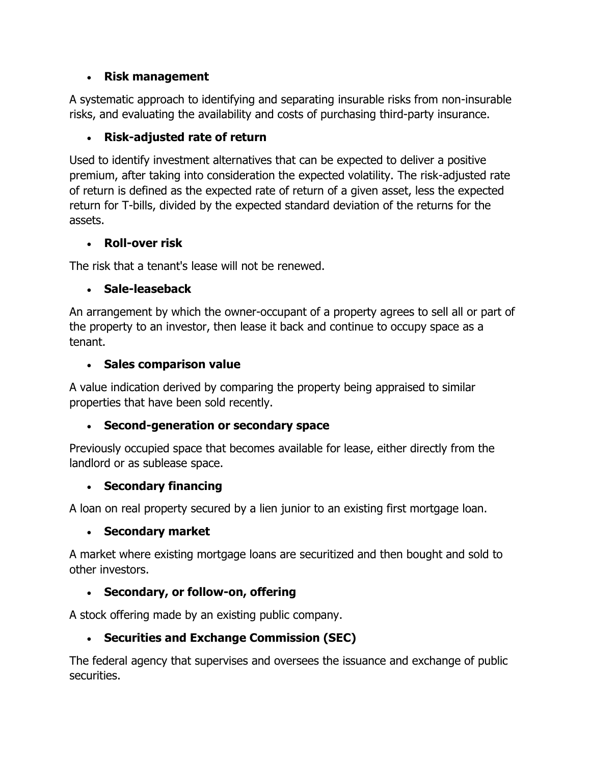### **Risk management**

A systematic approach to identifying and separating insurable risks from non-insurable risks, and evaluating the availability and costs of purchasing third-party insurance.

## **Risk-adjusted rate of return**

Used to identify investment alternatives that can be expected to deliver a positive premium, after taking into consideration the expected volatility. The risk-adjusted rate of return is defined as the expected rate of return of a given asset, less the expected return for T-bills, divided by the expected standard deviation of the returns for the assets.

### **Roll-over risk**

The risk that a tenant's lease will not be renewed.

### **Sale-leaseback**

An arrangement by which the owner-occupant of a property agrees to sell all or part of the property to an investor, then lease it back and continue to occupy space as a tenant.

#### **Sales comparison value**

A value indication derived by comparing the property being appraised to similar properties that have been sold recently.

### **Second-generation or secondary space**

Previously occupied space that becomes available for lease, either directly from the landlord or as sublease space.

### **Secondary financing**

A loan on real property secured by a lien junior to an existing first mortgage loan.

### **Secondary market**

A market where existing mortgage loans are securitized and then bought and sold to other investors.

### **Secondary, or follow-on, offering**

A stock offering made by an existing public company.

### **Securities and Exchange Commission (SEC)**

The federal agency that supervises and oversees the issuance and exchange of public securities.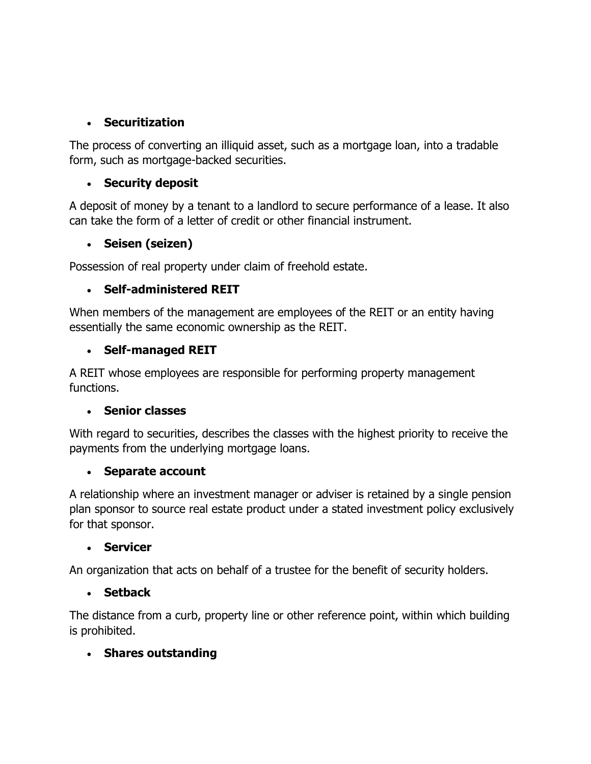### **Securitization**

The process of converting an illiquid asset, such as a mortgage loan, into a tradable form, such as mortgage-backed securities.

### **Security deposit**

A deposit of money by a tenant to a landlord to secure performance of a lease. It also can take the form of a letter of credit or other financial instrument.

#### **Seisen (seizen)**

Possession of real property under claim of freehold estate.

#### **Self-administered REIT**

When members of the management are employees of the REIT or an entity having essentially the same economic ownership as the REIT.

#### **Self-managed REIT**

A REIT whose employees are responsible for performing property management functions.

#### **Senior classes**

With regard to securities, describes the classes with the highest priority to receive the payments from the underlying mortgage loans.

#### **Separate account**

A relationship where an investment manager or adviser is retained by a single pension plan sponsor to source real estate product under a stated investment policy exclusively for that sponsor.

#### **Servicer**

An organization that acts on behalf of a trustee for the benefit of security holders.

#### **Setback**

The distance from a curb, property line or other reference point, within which building is prohibited.

### **Shares outstanding**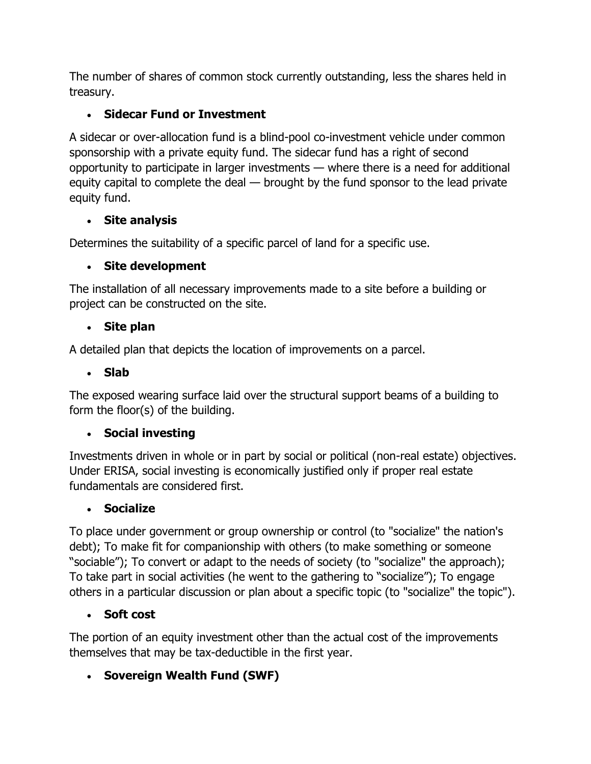The number of shares of common stock currently outstanding, less the shares held in treasury.

# **Sidecar Fund or Investment**

A sidecar or over-allocation fund is a blind-pool co-investment vehicle under common sponsorship with a private equity fund. The sidecar fund has a right of second opportunity to participate in larger investments — where there is a need for additional equity capital to complete the deal — brought by the fund sponsor to the lead private equity fund.

# **Site analysis**

Determines the suitability of a specific parcel of land for a specific use.

# **Site development**

The installation of all necessary improvements made to a site before a building or project can be constructed on the site.

## **Site plan**

A detailed plan that depicts the location of improvements on a parcel.

## **Slab**

The exposed wearing surface laid over the structural support beams of a building to form the floor(s) of the building.

# **Social investing**

Investments driven in whole or in part by social or political (non-real estate) objectives. Under ERISA, social investing is economically justified only if proper real estate fundamentals are considered first.

# **Socialize**

To place under government or group ownership or control (to "socialize" the nation's debt); To make fit for companionship with others (to make something or someone "sociable"); To convert or adapt to the needs of society (to "socialize" the approach); To take part in social activities (he went to the gathering to "socialize"); To engage others in a particular discussion or plan about a specific topic (to "socialize" the topic").

# **Soft cost**

The portion of an equity investment other than the actual cost of the improvements themselves that may be tax-deductible in the first year.

# **Sovereign Wealth Fund (SWF)**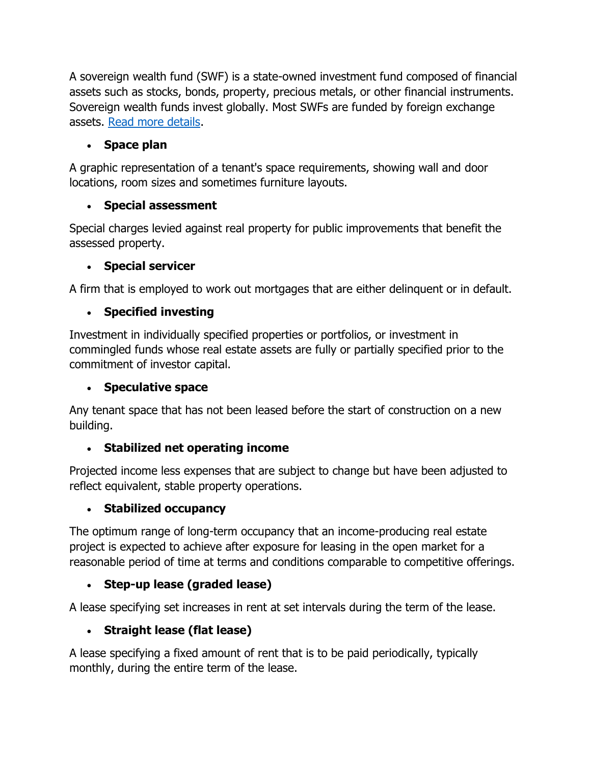A sovereign wealth fund (SWF) is a state-owned investment fund composed of financial assets such as stocks, bonds, property, precious metals, or other financial instruments. Sovereign wealth funds invest globally. Most SWFs are funded by foreign exchange assets. [Read more details.](http://en.wikipedia.org/wiki/Sovereign_wealth_fund)

# **Space plan**

A graphic representation of a tenant's space requirements, showing wall and door locations, room sizes and sometimes furniture layouts.

# **Special assessment**

Special charges levied against real property for public improvements that benefit the assessed property.

## **Special servicer**

A firm that is employed to work out mortgages that are either delinquent or in default.

# **Specified investing**

Investment in individually specified properties or portfolios, or investment in commingled funds whose real estate assets are fully or partially specified prior to the commitment of investor capital.

## **Speculative space**

Any tenant space that has not been leased before the start of construction on a new building.

# **Stabilized net operating income**

Projected income less expenses that are subject to change but have been adjusted to reflect equivalent, stable property operations.

# **Stabilized occupancy**

The optimum range of long-term occupancy that an income-producing real estate project is expected to achieve after exposure for leasing in the open market for a reasonable period of time at terms and conditions comparable to competitive offerings.

# **Step-up lease (graded lease)**

A lease specifying set increases in rent at set intervals during the term of the lease.

# **Straight lease (flat lease)**

A lease specifying a fixed amount of rent that is to be paid periodically, typically monthly, during the entire term of the lease.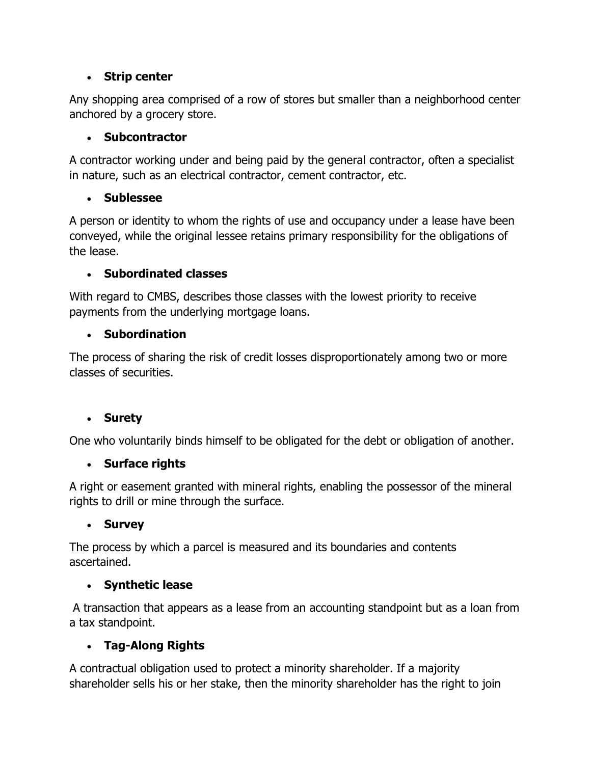### **Strip center**

Any shopping area comprised of a row of stores but smaller than a neighborhood center anchored by a grocery store.

### **Subcontractor**

A contractor working under and being paid by the general contractor, often a specialist in nature, such as an electrical contractor, cement contractor, etc.

## **Sublessee**

A person or identity to whom the rights of use and occupancy under a lease have been conveyed, while the original lessee retains primary responsibility for the obligations of the lease.

## **Subordinated classes**

With regard to CMBS, describes those classes with the lowest priority to receive payments from the underlying mortgage loans.

## **Subordination**

The process of sharing the risk of credit losses disproportionately among two or more classes of securities.

# **Surety**

One who voluntarily binds himself to be obligated for the debt or obligation of another.

# **Surface rights**

A right or easement granted with mineral rights, enabling the possessor of the mineral rights to drill or mine through the surface.

### **Survey**

The process by which a parcel is measured and its boundaries and contents ascertained.

# **Synthetic lease**

A transaction that appears as a lease from an accounting standpoint but as a loan from a tax standpoint.

# **Tag-Along Rights**

A contractual obligation used to protect a minority shareholder. If a majority shareholder sells his or her stake, then the minority shareholder has the right to join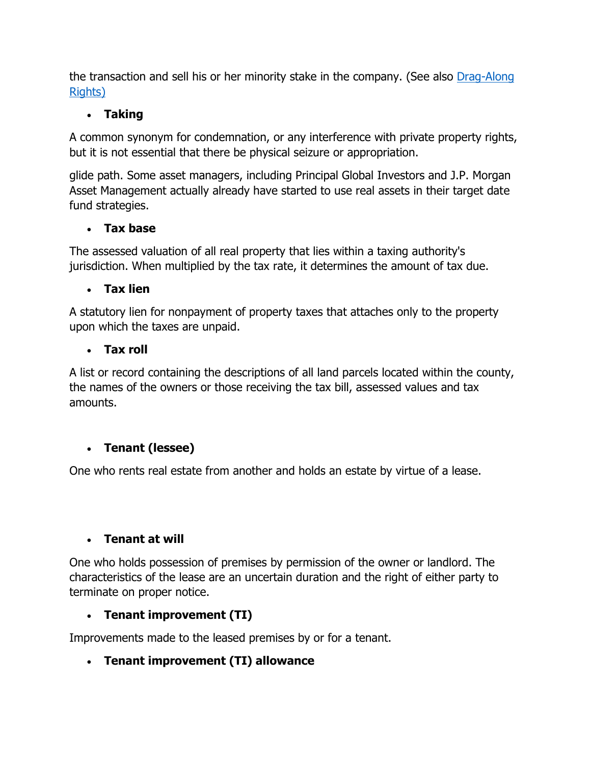the transaction and sell his or her minority stake in the company. (See also Drag-Along [Rights\)](http://www.irei.com/industry-resources/glossary/D#DAR)

## **Taking**

A common synonym for condemnation, or any interference with private property rights, but it is not essential that there be physical seizure or appropriation.

glide path. Some asset managers, including Principal Global Investors and J.P. Morgan Asset Management actually already have started to use real assets in their target date fund strategies.

### **Tax base**

The assessed valuation of all real property that lies within a taxing authority's jurisdiction. When multiplied by the tax rate, it determines the amount of tax due.

## **Tax lien**

A statutory lien for nonpayment of property taxes that attaches only to the property upon which the taxes are unpaid.

### **Tax roll**

A list or record containing the descriptions of all land parcels located within the county, the names of the owners or those receiving the tax bill, assessed values and tax amounts.

# **Tenant (lessee)**

One who rents real estate from another and holds an estate by virtue of a lease.

### **Tenant at will**

One who holds possession of premises by permission of the owner or landlord. The characteristics of the lease are an uncertain duration and the right of either party to terminate on proper notice.

# **Tenant improvement (TI)**

Improvements made to the leased premises by or for a tenant.

# **Tenant improvement (TI) allowance**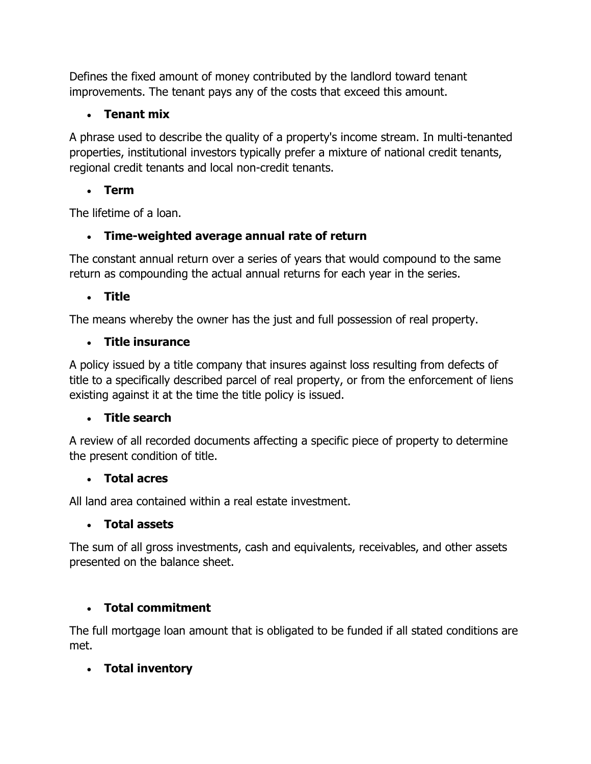Defines the fixed amount of money contributed by the landlord toward tenant improvements. The tenant pays any of the costs that exceed this amount.

# **Tenant mix**

A phrase used to describe the quality of a property's income stream. In multi-tenanted properties, institutional investors typically prefer a mixture of national credit tenants, regional credit tenants and local non-credit tenants.

# **Term**

The lifetime of a loan.

# **Time-weighted average annual rate of return**

The constant annual return over a series of years that would compound to the same return as compounding the actual annual returns for each year in the series.

# **Title**

The means whereby the owner has the just and full possession of real property.

# **Title insurance**

A policy issued by a title company that insures against loss resulting from defects of title to a specifically described parcel of real property, or from the enforcement of liens existing against it at the time the title policy is issued.

# **Title search**

A review of all recorded documents affecting a specific piece of property to determine the present condition of title.

# **Total acres**

All land area contained within a real estate investment.

# **Total assets**

The sum of all gross investments, cash and equivalents, receivables, and other assets presented on the balance sheet.

# **Total commitment**

The full mortgage loan amount that is obligated to be funded if all stated conditions are met.

# **Total inventory**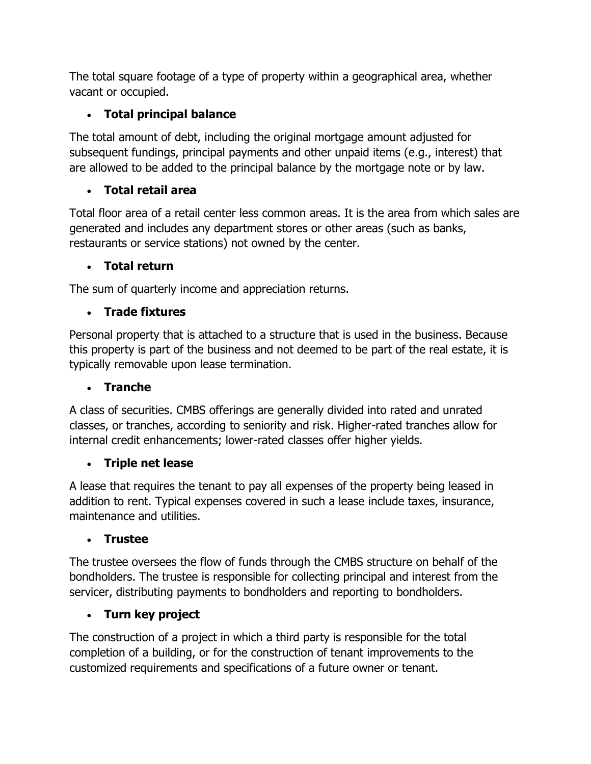The total square footage of a type of property within a geographical area, whether vacant or occupied.

# **Total principal balance**

The total amount of debt, including the original mortgage amount adjusted for subsequent fundings, principal payments and other unpaid items (e.g., interest) that are allowed to be added to the principal balance by the mortgage note or by law.

# **Total retail area**

Total floor area of a retail center less common areas. It is the area from which sales are generated and includes any department stores or other areas (such as banks, restaurants or service stations) not owned by the center.

# **Total return**

The sum of quarterly income and appreciation returns.

# **Trade fixtures**

Personal property that is attached to a structure that is used in the business. Because this property is part of the business and not deemed to be part of the real estate, it is typically removable upon lease termination.

## **Tranche**

A class of securities. CMBS offerings are generally divided into rated and unrated classes, or tranches, according to seniority and risk. Higher-rated tranches allow for internal credit enhancements; lower-rated classes offer higher yields.

# **Triple net lease**

A lease that requires the tenant to pay all expenses of the property being leased in addition to rent. Typical expenses covered in such a lease include taxes, insurance, maintenance and utilities.

# **Trustee**

The trustee oversees the flow of funds through the CMBS structure on behalf of the bondholders. The trustee is responsible for collecting principal and interest from the servicer, distributing payments to bondholders and reporting to bondholders.

# **Turn key project**

The construction of a project in which a third party is responsible for the total completion of a building, or for the construction of tenant improvements to the customized requirements and specifications of a future owner or tenant.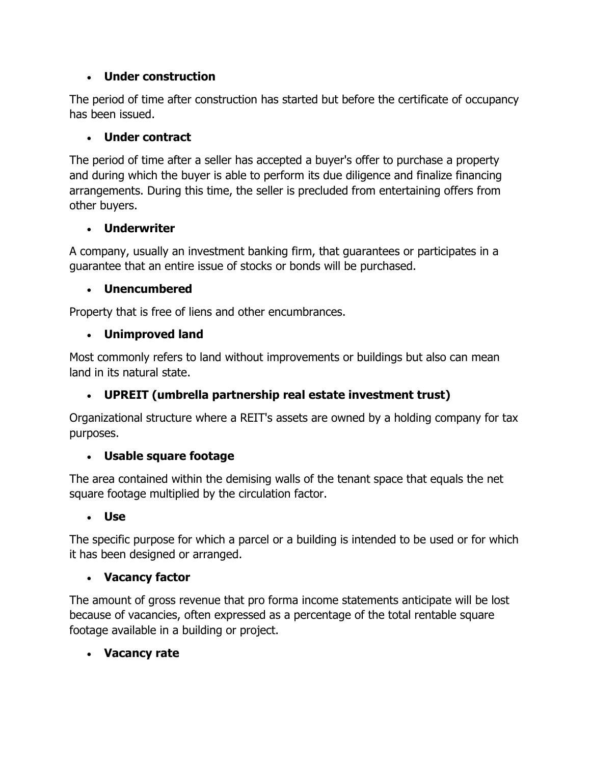## **Under construction**

The period of time after construction has started but before the certificate of occupancy has been issued.

## **Under contract**

The period of time after a seller has accepted a buyer's offer to purchase a property and during which the buyer is able to perform its due diligence and finalize financing arrangements. During this time, the seller is precluded from entertaining offers from other buyers.

### **Underwriter**

A company, usually an investment banking firm, that guarantees or participates in a guarantee that an entire issue of stocks or bonds will be purchased.

## **Unencumbered**

Property that is free of liens and other encumbrances.

## **Unimproved land**

Most commonly refers to land without improvements or buildings but also can mean land in its natural state.

# **UPREIT (umbrella partnership real estate investment trust)**

Organizational structure where a REIT's assets are owned by a holding company for tax purposes.

### **Usable square footage**

The area contained within the demising walls of the tenant space that equals the net square footage multiplied by the circulation factor.

### **Use**

The specific purpose for which a parcel or a building is intended to be used or for which it has been designed or arranged.

### **Vacancy factor**

The amount of gross revenue that pro forma income statements anticipate will be lost because of vacancies, often expressed as a percentage of the total rentable square footage available in a building or project.

### **Vacancy rate**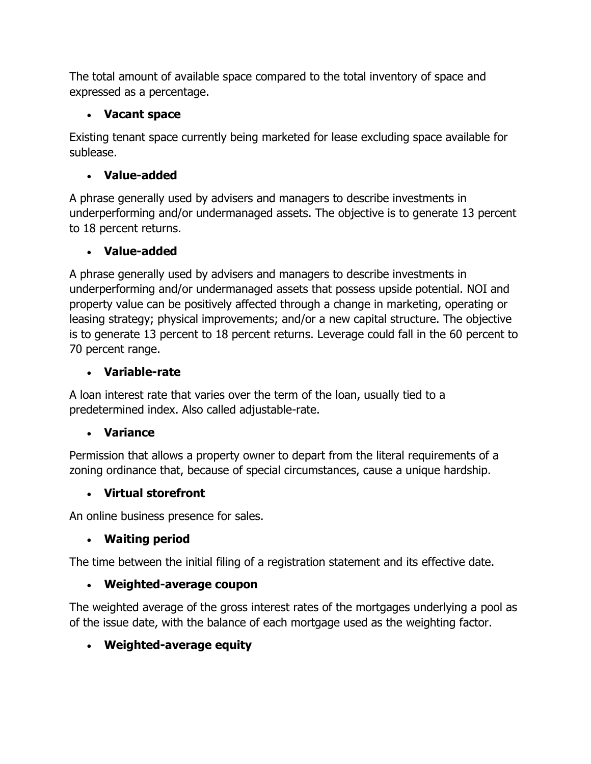The total amount of available space compared to the total inventory of space and expressed as a percentage.

## **Vacant space**

Existing tenant space currently being marketed for lease excluding space available for sublease.

# **Value-added**

A phrase generally used by advisers and managers to describe investments in underperforming and/or undermanaged assets. The objective is to generate 13 percent to 18 percent returns.

# **Value-added**

A phrase generally used by advisers and managers to describe investments in underperforming and/or undermanaged assets that possess upside potential. NOI and property value can be positively affected through a change in marketing, operating or leasing strategy; physical improvements; and/or a new capital structure. The objective is to generate 13 percent to 18 percent returns. Leverage could fall in the 60 percent to 70 percent range.

# **Variable-rate**

A loan interest rate that varies over the term of the loan, usually tied to a predetermined index. Also called adjustable-rate.

# **Variance**

Permission that allows a property owner to depart from the literal requirements of a zoning ordinance that, because of special circumstances, cause a unique hardship.

# **Virtual storefront**

An online business presence for sales.

# **Waiting period**

The time between the initial filing of a registration statement and its effective date.

# **Weighted-average coupon**

The weighted average of the gross interest rates of the mortgages underlying a pool as of the issue date, with the balance of each mortgage used as the weighting factor.

# **Weighted-average equity**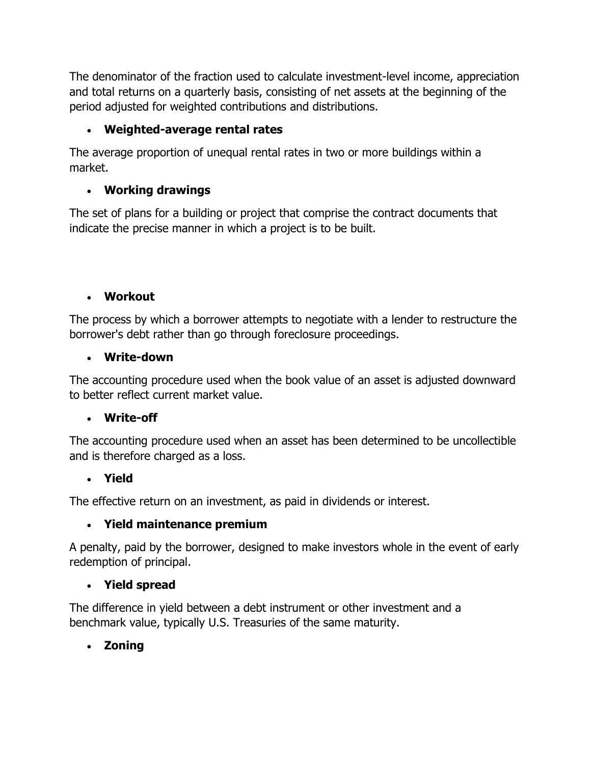The denominator of the fraction used to calculate investment-level income, appreciation and total returns on a quarterly basis, consisting of net assets at the beginning of the period adjusted for weighted contributions and distributions.

# **Weighted-average rental rates**

The average proportion of unequal rental rates in two or more buildings within a market.

## **Working drawings**

The set of plans for a building or project that comprise the contract documents that indicate the precise manner in which a project is to be built.

### **Workout**

The process by which a borrower attempts to negotiate with a lender to restructure the borrower's debt rather than go through foreclosure proceedings.

### **Write-down**

The accounting procedure used when the book value of an asset is adjusted downward to better reflect current market value.

#### **Write-off**

The accounting procedure used when an asset has been determined to be uncollectible and is therefore charged as a loss.

### **Yield**

The effective return on an investment, as paid in dividends or interest.

### **Yield maintenance premium**

A penalty, paid by the borrower, designed to make investors whole in the event of early redemption of principal.

### **Yield spread**

The difference in yield between a debt instrument or other investment and a benchmark value, typically U.S. Treasuries of the same maturity.

### **Zoning**